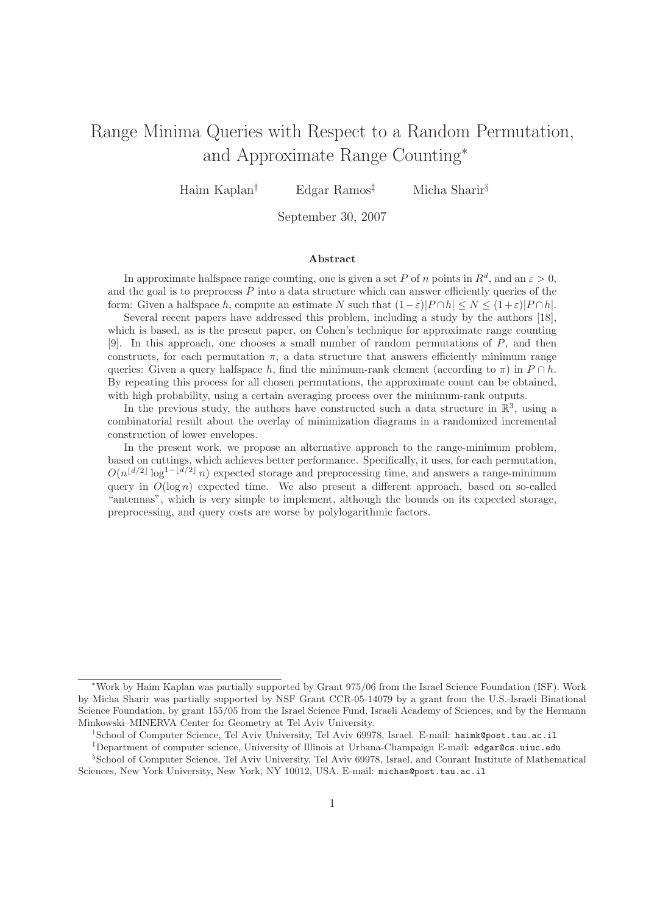# Range Minima Queries with Respect to a Random Permutation, and Approximate Range Counting<sup>∗</sup>

Haim Kaplan<sup>†</sup> Edgar Ramos<sup>‡</sup> Micha Sharir<sup>§</sup>

September 30, 2007

#### Abstract

In approximate halfspace range counting, one is given a set P of n points in  $R^d$ , and an  $\varepsilon > 0$ , and the goal is to preprocess  $P$  into a data structure which can answer efficiently queries of the form: Given a halfspace h, compute an estimate N such that  $(1-\varepsilon)|P \cap h| \le N \le (1+\varepsilon)|P \cap h|$ .

Several recent papers have addressed this problem, including a study by the authors [18], which is based, as is the present paper, on Cohen's technique for approximate range counting [9]. In this approach, one chooses a small number of random permutations of P, and then constructs, for each permutation  $\pi$ , a data structure that answers efficiently minimum range queries: Given a query halfspace h, find the minimum-rank element (according to  $\pi$ ) in  $P \cap h$ . By repeating this process for all chosen permutations, the approximate count can be obtained, with high probability, using a certain averaging process over the minimum-rank outputs.

In the previous study, the authors have constructed such a data structure in  $\mathbb{R}^3$ , using a combinatorial result about the overlay of minimization diagrams in a randomized incremental construction of lower envelopes.

In the present work, we propose an alternative approach to the range-minimum problem, based on cuttings, which achieves better performance. Specifically, it uses, for each permutation,  $O(n^{\lfloor d/2 \rfloor} \log^{1-\lfloor d/2 \rfloor} n)$  expected storage and preprocessing time, and answers a range-minimum query in  $O(\log n)$  expected time. We also present a different approach, based on so-called "antennas", which is very simple to implement, although the bounds on its expected storage, preprocessing, and query costs are worse by polylogarithmic factors.

<sup>∗</sup>Work by Haim Kaplan was partially supported by Grant 975/06 from the Israel Science Foundation (ISF). Work by Micha Sharir was partially supported by NSF Grant CCR-05-14079 by a grant from the U.S.-Israeli Binational Science Foundation, by grant 155/05 from the Israel Science Fund, Israeli Academy of Sciences, and by the Hermann Minkowski–MINERVA Center for Geometry at Tel Aviv University.

<sup>†</sup>School of Computer Science, Tel Aviv University, Tel Aviv 69978, Israel. E-mail: haimk@post.tau.ac.il

<sup>‡</sup>Department of computer science, University of Illinois at Urbana-Champaign E-mail: edgar@cs.uiuc.edu

<sup>§</sup>School of Computer Science, Tel Aviv University, Tel Aviv 69978, Israel, and Courant Institute of Mathematical Sciences, New York University, New York, NY 10012, USA. E-mail: michas@post.tau.ac.il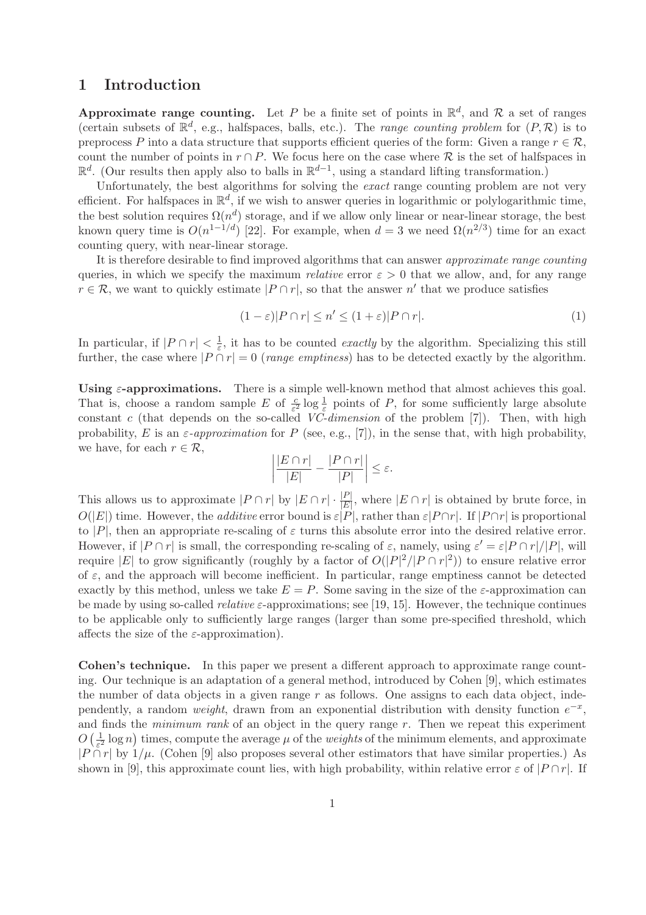### 1 Introduction

Approximate range counting. Let P be a finite set of points in  $\mathbb{R}^d$ , and R a set of ranges (certain subsets of  $\mathbb{R}^d$ , e.g., halfspaces, balls, etc.). The *range counting problem* for  $(P, \mathcal{R})$  is to preprocess P into a data structure that supports efficient queries of the form: Given a range  $r \in \mathcal{R}$ , count the number of points in  $r \cap P$ . We focus here on the case where R is the set of halfspaces in  $\mathbb{R}^d$ . (Our results then apply also to balls in  $\mathbb{R}^{d-1}$ , using a standard lifting transformation.)

Unfortunately, the best algorithms for solving the *exact* range counting problem are not very efficient. For halfspaces in  $\mathbb{R}^d$ , if we wish to answer queries in logarithmic or polylogarithmic time, the best solution requires  $\Omega(n^d)$  storage, and if we allow only linear or near-linear storage, the best known query time is  $O(n^{1-1/d})$  [22]. For example, when  $d=3$  we need  $\Omega(n^{2/3})$  time for an exact counting query, with near-linear storage.

It is therefore desirable to find improved algorithms that can answer approximate range counting queries, in which we specify the maximum *relative* error  $\varepsilon > 0$  that we allow, and, for any range  $r \in \mathcal{R}$ , we want to quickly estimate  $|P \cap r|$ , so that the answer n' that we produce satisfies

$$
(1 - \varepsilon)|P \cap r| \le n' \le (1 + \varepsilon)|P \cap r|.
$$
 (1)

In particular, if  $|P \cap r| < \frac{1}{\varepsilon}$  $\frac{1}{\varepsilon}$ , it has to be counted *exactly* by the algorithm. Specializing this still further, the case where  $|P \cap r| = 0$  (range emptiness) has to be detected exactly by the algorithm.

Using  $\varepsilon$ -approximations. There is a simple well-known method that almost achieves this goal. That is, choose a random sample E of  $\frac{c}{\varepsilon^2} \log \frac{1}{\varepsilon}$  points of P, for some sufficiently large absolute constant c (that depends on the so-called  $V\overline{C}$ -dimension of the problem [7]). Then, with high probability, E is an  $\varepsilon$ -approximation for P (see, e.g., [7]), in the sense that, with high probability, we have, for each  $r \in \mathcal{R}$ ,

$$
\left|\frac{|E\cap r|}{|E|} - \frac{|P\cap r|}{|P|}\right| \leq \varepsilon.
$$

This allows us to approximate  $|P \cap r|$  by  $|E \cap r| \cdot \frac{|P|}{|E|}$ , where  $|E \cap r|$  is obtained by brute force, in  $O(|E|)$  time. However, the *additive* error bound is  $\varepsilon |P|$ , rather than  $\varepsilon |P \cap r|$ . If  $|P \cap r|$  is proportional to |P|, then an appropriate re-scaling of  $\varepsilon$  turns this absolute error into the desired relative error. However, if  $|P \cap r|$  is small, the corresponding re-scaling of  $\varepsilon$ , namely, using  $\varepsilon' = \varepsilon |P \cap r|/|P|$ , will require |E| to grow significantly (roughly by a factor of  $O(|P|^2/|P \cap r|^2)$ ) to ensure relative error of  $\varepsilon$ , and the approach will become inefficient. In particular, range emptiness cannot be detected exactly by this method, unless we take  $E = P$ . Some saving in the size of the  $\varepsilon$ -approximation can be made by using so-called *relative*  $\varepsilon$ -approximations; see [19, 15]. However, the technique continues to be applicable only to sufficiently large ranges (larger than some pre-specified threshold, which affects the size of the  $\varepsilon$ -approximation).

Cohen's technique. In this paper we present a different approach to approximate range counting. Our technique is an adaptation of a general method, introduced by Cohen [9], which estimates the number of data objects in a given range  $r$  as follows. One assigns to each data object, independently, a random *weight*, drawn from an exponential distribution with density function  $e^{-x}$ , and finds the *minimum rank* of an object in the query range  $r$ . Then we repeat this experiment  $O\left(\frac{1}{\epsilon^2}\right)$  $\frac{1}{\varepsilon^2}$  log n) times, compute the average  $\mu$  of the *weights* of the minimum elements, and approximate  $|P \cap r|$  by  $1/\mu$ . (Cohen [9] also proposes several other estimators that have similar properties.) As shown in [9], this approximate count lies, with high probability, within relative error  $\varepsilon$  of  $|P \cap r|$ . If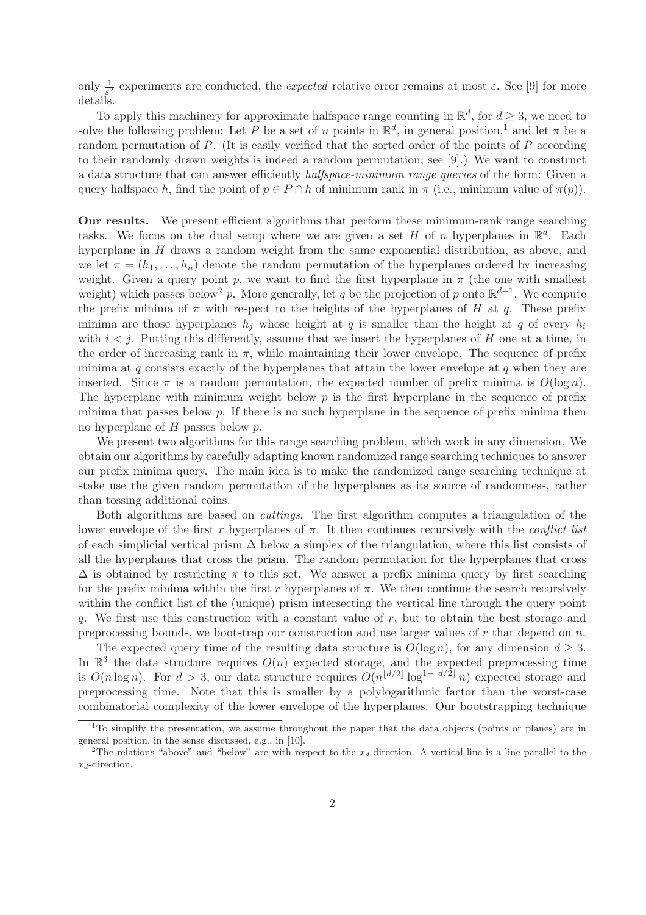only  $\frac{1}{\varepsilon^2}$  experiments are conducted, the *expected* relative error remains at most  $\varepsilon$ . See [9] for more details.

To apply this machinery for approximate halfspace range counting in  $\mathbb{R}^d$ , for  $d \geq 3$ , we need to solve the following problem: Let P be a set of n points in  $\mathbb{R}^d$ , in general position,<sup>1</sup> and let  $\pi$  be a random permutation of P. (It is easily verified that the sorted order of the points of P according to their randomly drawn weights is indeed a random permutation; see [9].) We want to construct a data structure that can answer efficiently halfspace-minimum range queries of the form: Given a query halfspace h, find the point of  $p \in P \cap h$  of minimum rank in  $\pi$  (i.e., minimum value of  $\pi(p)$ ).

Our results. We present efficient algorithms that perform these minimum-rank range searching tasks. We focus on the dual setup where we are given a set H of n hyperplanes in  $\mathbb{R}^d$ . Each hyperplane in H draws a random weight from the same exponential distribution, as above, and we let  $\pi = (h_1, \ldots, h_n)$  denote the random permutation of the hyperplanes ordered by increasing weight. Given a query point p, we want to find the first hyperplane in  $\pi$  (the one with smallest weight) which passes below<sup>2</sup> p. More generally, let q be the projection of p onto  $\mathbb{R}^{d-1}$ . We compute the prefix minima of  $\pi$  with respect to the heights of the hyperplanes of H at q. These prefix minima are those hyperplanes  $h_i$  whose height at q is smaller than the height at q of every  $h_i$ with  $i < j$ . Putting this differently, assume that we insert the hyperplanes of H one at a time, in the order of increasing rank in  $\pi$ , while maintaining their lower envelope. The sequence of prefix minima at q consists exactly of the hyperplanes that attain the lower envelope at  $q$  when they are inserted. Since  $\pi$  is a random permutation, the expected number of prefix minima is  $O(\log n)$ . The hyperplane with minimum weight below  $p$  is the first hyperplane in the sequence of prefix minima that passes below  $p$ . If there is no such hyperplane in the sequence of prefix minima then no hyperplane of  $H$  passes below  $p$ .

We present two algorithms for this range searching problem, which work in any dimension. We obtain our algorithms by carefully adapting known randomized range searching techniques to answer our prefix minima query. The main idea is to make the randomized range searching technique at stake use the given random permutation of the hyperplanes as its source of randomness, rather than tossing additional coins.

Both algorithms are based on cuttings. The first algorithm computes a triangulation of the lower envelope of the first r hyperplanes of  $\pi$ . It then continues recursively with the *conflict list* of each simplicial vertical prism  $\Delta$  below a simplex of the triangulation, where this list consists of all the hyperplanes that cross the prism. The random permutation for the hyperplanes that cross  $\Delta$  is obtained by restricting  $\pi$  to this set. We answer a prefix minima query by first searching for the prefix minima within the first r hyperplanes of  $\pi$ . We then continue the search recursively within the conflict list of the (unique) prism intersecting the vertical line through the query point q. We first use this construction with a constant value of r, but to obtain the best storage and preprocessing bounds, we bootstrap our construction and use larger values of  $r$  that depend on  $n$ .

The expected query time of the resulting data structure is  $O(\log n)$ , for any dimension  $d \geq 3$ . In  $\mathbb{R}^3$  the data structure requires  $O(n)$  expected storage, and the expected preprocessing time is  $O(n \log n)$ . For  $d > 3$ , our data structure requires  $O(n^{\lfloor d/2 \rfloor} \log^{1-\lfloor d/2 \rfloor} n)$  expected storage and preprocessing time. Note that this is smaller by a polylogarithmic factor than the worst-case combinatorial complexity of the lower envelope of the hyperplanes. Our bootstrapping technique

<sup>&</sup>lt;sup>1</sup>To simplify the presentation, we assume throughout the paper that the data objects (points or planes) are in general position, in the sense discussed, e.g., in [10].

<sup>&</sup>lt;sup>2</sup>The relations "above" and "below" are with respect to the  $x_d$ -direction. A vertical line is a line parallel to the  $x_d$ -direction.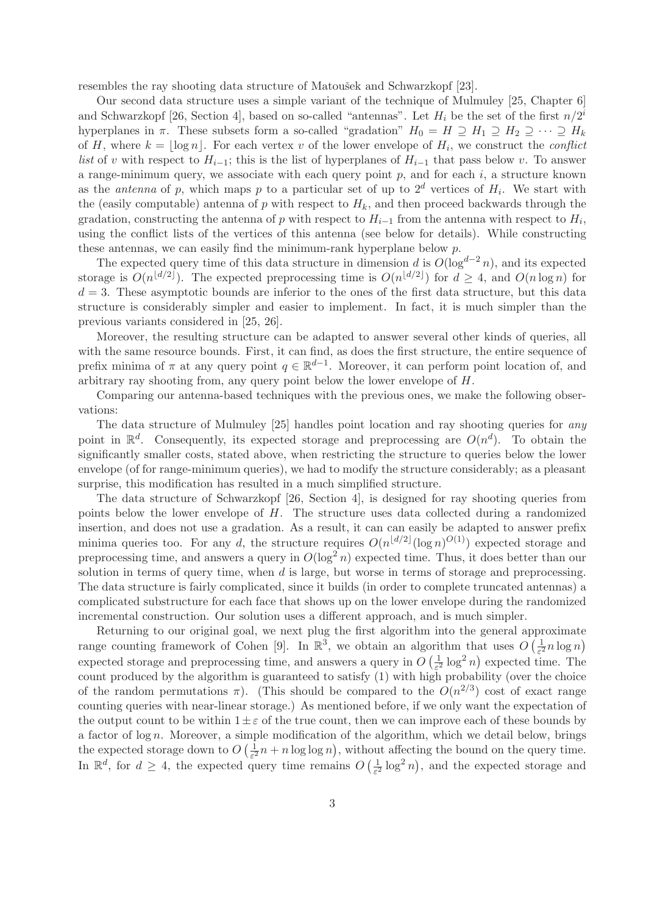resembles the ray shooting data structure of Matoušek and Schwarzkopf [23].

Our second data structure uses a simple variant of the technique of Mulmuley [25, Chapter 6] and Schwarzkopf [26, Section 4], based on so-called "antennas". Let  $H_i$  be the set of the first  $n/2^i$ hyperplanes in  $\pi$ . These subsets form a so-called "gradation"  $H_0 = H \supseteq H_1 \supseteq H_2 \supseteq \cdots \supseteq H_k$ of H, where  $k = \lfloor \log n \rfloor$ . For each vertex v of the lower envelope of  $H_i$ , we construct the *conflict* list of v with respect to  $H_{i-1}$ ; this is the list of hyperplanes of  $H_{i-1}$  that pass below v. To answer a range-minimum query, we associate with each query point  $p$ , and for each  $i$ , a structure known as the *antenna* of p, which maps p to a particular set of up to  $2^d$  vertices of  $H_i$ . We start with the (easily computable) antenna of  $p$  with respect to  $H_k$ , and then proceed backwards through the gradation, constructing the antenna of p with respect to  $H_{i-1}$  from the antenna with respect to  $H_i$ , using the conflict lists of the vertices of this antenna (see below for details). While constructing these antennas, we can easily find the minimum-rank hyperplane below p.

The expected query time of this data structure in dimension d is  $O(\log^{d-2} n)$ , and its expected storage is  $O(n^{\lfloor d/2 \rfloor})$ . The expected preprocessing time is  $O(n^{\lfloor d/2 \rfloor})$  for  $d \geq 4$ , and  $O(n \log n)$  for  $d = 3$ . These asymptotic bounds are inferior to the ones of the first data structure, but this data structure is considerably simpler and easier to implement. In fact, it is much simpler than the previous variants considered in [25, 26].

Moreover, the resulting structure can be adapted to answer several other kinds of queries, all with the same resource bounds. First, it can find, as does the first structure, the entire sequence of prefix minima of  $\pi$  at any query point  $q \in \mathbb{R}^{d-1}$ . Moreover, it can perform point location of, and arbitrary ray shooting from, any query point below the lower envelope of H.

Comparing our antenna-based techniques with the previous ones, we make the following observations:

The data structure of Mulmuley [25] handles point location and ray shooting queries for any point in  $\mathbb{R}^d$ . Consequently, its expected storage and preprocessing are  $O(n^d)$ . To obtain the significantly smaller costs, stated above, when restricting the structure to queries below the lower envelope (of for range-minimum queries), we had to modify the structure considerably; as a pleasant surprise, this modification has resulted in a much simplified structure.

The data structure of Schwarzkopf [26, Section 4], is designed for ray shooting queries from points below the lower envelope of  $H$ . The structure uses data collected during a randomized insertion, and does not use a gradation. As a result, it can can easily be adapted to answer prefix minima queries too. For any d, the structure requires  $O(n^{\lfloor d/2 \rfloor} (\log n)^{O(1)})$  expected storage and preprocessing time, and answers a query in  $O(\log^2 n)$  expected time. Thus, it does better than our solution in terms of query time, when d is large, but worse in terms of storage and preprocessing. The data structure is fairly complicated, since it builds (in order to complete truncated antennas) a complicated substructure for each face that shows up on the lower envelope during the randomized incremental construction. Our solution uses a different approach, and is much simpler.

Returning to our original goal, we next plug the first algorithm into the general approximate range counting framework of Cohen [9]. In  $\mathbb{R}^3$ , we obtain an algorithm that uses  $O\left(\frac{1}{\epsilon^2}\right)$  $\frac{1}{\varepsilon^2} n \log n$ expected storage and preprocessing time, and answers a query in  $O\left(\frac{1}{\epsilon^2}\right)$  $\frac{1}{\varepsilon^2} \log^2 n$  expected time. The count produced by the algorithm is guaranteed to satisfy (1) with high probability (over the choice of the random permutations  $\pi$ ). (This should be compared to the  $O(n^{2/3})$  cost of exact range counting queries with near-linear storage.) As mentioned before, if we only want the expectation of the output count to be within  $1 \pm \varepsilon$  of the true count, then we can improve each of these bounds by a factor of  $\log n$ . Moreover, a simple modification of the algorithm, which we detail below, brings the expected storage down to  $O\left(\frac{1}{\epsilon^2}\right)$  $\frac{1}{\varepsilon^2}$  n + n log log n), without affecting the bound on the query time. In  $\mathbb{R}^d$ , for  $d \geq 4$ , the expected query time remains  $O\left(\frac{1}{\varepsilon^2}\right)$  $\frac{1}{\varepsilon^2} \log^2 n$ , and the expected storage and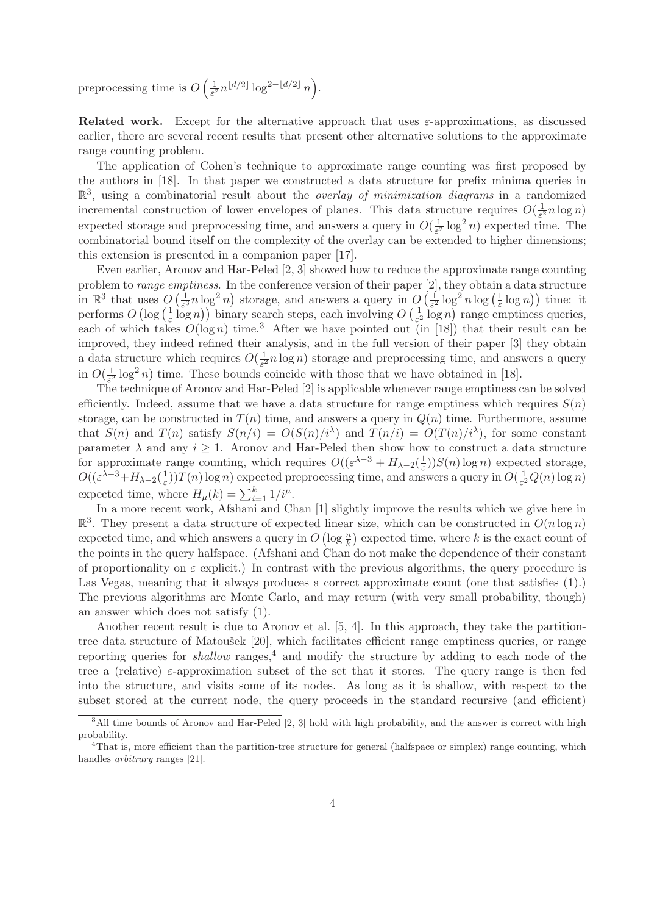preprocessing time is  $O\left(\frac{1}{\epsilon^2}\right)$  $\frac{1}{\varepsilon^2} n^{\lfloor d/2 \rfloor} \log^{2-\lfloor d/2 \rfloor} n$ .

**Related work.** Except for the alternative approach that uses  $\varepsilon$ -approximations, as discussed earlier, there are several recent results that present other alternative solutions to the approximate range counting problem.

The application of Cohen's technique to approximate range counting was first proposed by the authors in [18]. In that paper we constructed a data structure for prefix minima queries in  $\mathbb{R}^3$ , using a combinatorial result about the *overlay of minimization diagrams* in a randomized incremental construction of lower envelopes of planes. This data structure requires  $O(\frac{1}{\epsilon^2})$  $\frac{1}{\varepsilon^2} n \log n$ expected storage and preprocessing time, and answers a query in  $O(\frac{1}{\epsilon^2})$  $\frac{1}{\varepsilon^2} \log^2 n$  expected time. The combinatorial bound itself on the complexity of the overlay can be extended to higher dimensions; this extension is presented in a companion paper [17].

Even earlier, Aronov and Har-Peled [2, 3] showed how to reduce the approximate range counting problem to range emptiness. In the conference version of their paper [2], they obtain a data structure in  $\mathbb{R}^3$  that uses  $O\left(\frac{1}{\epsilon^3}n\log^2 n\right)$  storage, and answers a query in  $O\left(\frac{1}{\epsilon^2}\log^2 n\log\left(\frac{1}{\epsilon}\right)\right)$ experience  $O\left(\log\left(\frac{1}{\epsilon}\log n\right)\right)$  binary search steps, each involving  $O\left(\frac{1}{\epsilon^2}\log n\right)$  $(\frac{1}{\varepsilon} \log n))$  time: it  $(\frac{1}{\varepsilon}\log n)$  binary search steps, each involving  $O\left(\frac{1}{\varepsilon^2}\right)$  $\frac{1}{\varepsilon^2} \log n$  range emptiness queries, each of which takes  $O(\log n)$  time.<sup>3</sup> After we have pointed out (in [18]) that their result can be improved, they indeed refined their analysis, and in the full version of their paper [3] they obtain a data structure which requires  $O(\frac{1}{\epsilon^2})$  $\frac{1}{\varepsilon^2}$  n log n) storage and preprocessing time, and answers a query in  $O(\frac{1}{\epsilon^2})$  $\frac{1}{\varepsilon^2} \log^2 n$ ) time. These bounds coincide with those that we have obtained in [18].

The technique of Aronov and Har-Peled [2] is applicable whenever range emptiness can be solved efficiently. Indeed, assume that we have a data structure for range emptiness which requires  $S(n)$ storage, can be constructed in  $T(n)$  time, and answers a query in  $Q(n)$  time. Furthermore, assume that  $S(n)$  and  $T(n)$  satisfy  $S(n/i) = O(S(n)/i^{\lambda})$  and  $T(n/i) = O(T(n)/i^{\lambda})$ , for some constant parameter  $\lambda$  and any  $i > 1$ . Aronov and Har-Peled then show how to construct a data structure for approximate range counting, which requires  $O((\varepsilon^{\lambda-3} + H_{\lambda-2}(\frac{1}{\varepsilon}))$  $(\frac{1}{\varepsilon}))S(n)\log n$  expected storage,  $O((\varepsilon^{\lambda-3}+H_{\lambda-2}(\frac{1}{\varepsilon}$  $(\frac{1}{\varepsilon})T(n)$  log n) expected preprocessing time, and answers a query in  $O(\frac{1}{\varepsilon^2})$  $\frac{1}{\varepsilon^2}Q(n)\log n)$ expected time, where  $H_{\mu}(k) = \sum_{i=1}^{k} 1/i^{\mu}$ .

In a more recent work, Afshani and Chan [1] slightly improve the results which we give here in  $\mathbb{R}^3$ . They present a data structure of expected linear size, which can be constructed in  $O(n \log n)$ expected time, and which answers a query in  $O(\log \frac{n}{k})$  expected time, where k is the exact count of the points in the query halfspace. (Afshani and Chan do not make the dependence of their constant of proportionality on  $\varepsilon$  explicit.) In contrast with the previous algorithms, the query procedure is Las Vegas, meaning that it always produces a correct approximate count (one that satisfies  $(1)$ .) The previous algorithms are Monte Carlo, and may return (with very small probability, though) an answer which does not satisfy (1).

Another recent result is due to Aronov et al. [5, 4]. In this approach, they take the partitiontree data structure of Matoušek [20], which facilitates efficient range emptiness queries, or range reporting queries for *shallow* ranges,<sup>4</sup> and modify the structure by adding to each node of the tree a (relative)  $\varepsilon$ -approximation subset of the set that it stores. The query range is then fed into the structure, and visits some of its nodes. As long as it is shallow, with respect to the subset stored at the current node, the query proceeds in the standard recursive (and efficient)

<sup>&</sup>lt;sup>3</sup>All time bounds of Aronov and Har-Peled [2, 3] hold with high probability, and the answer is correct with high probability.

<sup>&</sup>lt;sup>4</sup>That is, more efficient than the partition-tree structure for general (halfspace or simplex) range counting, which handles *arbitrary* ranges [21].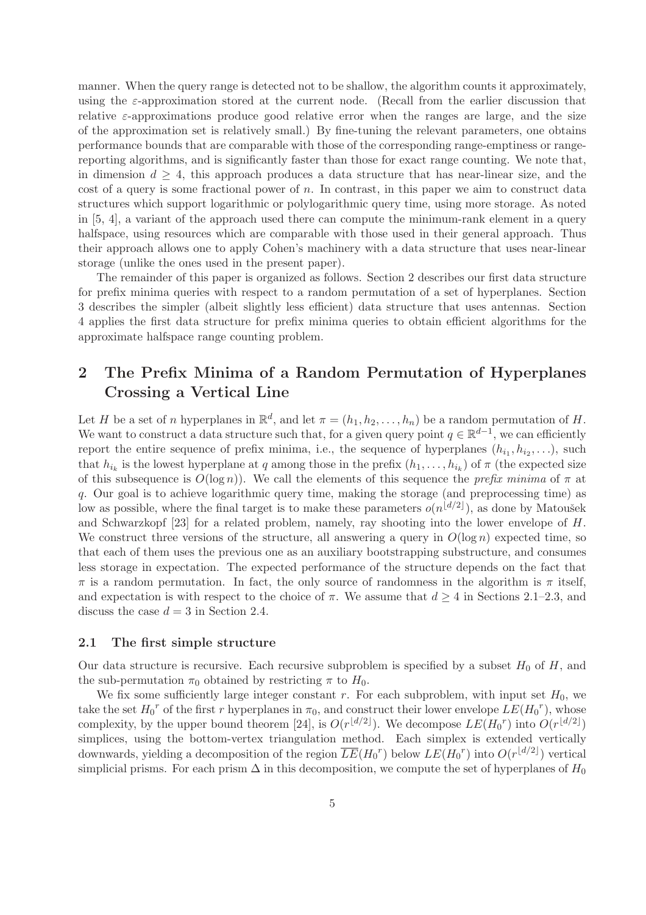manner. When the query range is detected not to be shallow, the algorithm counts it approximately, using the  $\varepsilon$ -approximation stored at the current node. (Recall from the earlier discussion that relative  $\varepsilon$ -approximations produce good relative error when the ranges are large, and the size of the approximation set is relatively small.) By fine-tuning the relevant parameters, one obtains performance bounds that are comparable with those of the corresponding range-emptiness or rangereporting algorithms, and is significantly faster than those for exact range counting. We note that, in dimension  $d \geq 4$ , this approach produces a data structure that has near-linear size, and the cost of a query is some fractional power of  $n$ . In contrast, in this paper we aim to construct data structures which support logarithmic or polylogarithmic query time, using more storage. As noted in [5, 4], a variant of the approach used there can compute the minimum-rank element in a query halfspace, using resources which are comparable with those used in their general approach. Thus their approach allows one to apply Cohen's machinery with a data structure that uses near-linear storage (unlike the ones used in the present paper).

The remainder of this paper is organized as follows. Section 2 describes our first data structure for prefix minima queries with respect to a random permutation of a set of hyperplanes. Section 3 describes the simpler (albeit slightly less efficient) data structure that uses antennas. Section 4 applies the first data structure for prefix minima queries to obtain efficient algorithms for the approximate halfspace range counting problem.

# 2 The Prefix Minima of a Random Permutation of Hyperplanes Crossing a Vertical Line

Let H be a set of n hyperplanes in  $\mathbb{R}^d$ , and let  $\pi = (h_1, h_2, \ldots, h_n)$  be a random permutation of H. We want to construct a data structure such that, for a given query point  $q \in \mathbb{R}^{d-1}$ , we can efficiently report the entire sequence of prefix minima, i.e., the sequence of hyperplanes  $(h_{i_1}, h_{i_2}, \ldots)$ , such that  $h_{i_k}$  is the lowest hyperplane at q among those in the prefix  $(h_1, \ldots, h_{i_k})$  of  $\pi$  (the expected size of this subsequence is  $O(\log n)$ . We call the elements of this sequence the *prefix minima* of  $\pi$  at q. Our goal is to achieve logarithmic query time, making the storage (and preprocessing time) as low as possible, where the final target is to make these parameters  $o(n^{\lfloor d/2 \rfloor})$ , as done by Matoušek and Schwarzkopf [23] for a related problem, namely, ray shooting into the lower envelope of H. We construct three versions of the structure, all answering a query in  $O(\log n)$  expected time, so that each of them uses the previous one as an auxiliary bootstrapping substructure, and consumes less storage in expectation. The expected performance of the structure depends on the fact that  $\pi$  is a random permutation. In fact, the only source of randomness in the algorithm is  $\pi$  itself, and expectation is with respect to the choice of  $\pi$ . We assume that  $d \geq 4$  in Sections 2.1–2.3, and discuss the case  $d = 3$  in Section 2.4.

#### 2.1 The first simple structure

Our data structure is recursive. Each recursive subproblem is specified by a subset  $H_0$  of H, and the sub-permutation  $\pi_0$  obtained by restricting  $\pi$  to  $H_0$ .

We fix some sufficiently large integer constant r. For each subproblem, with input set  $H_0$ , we take the set  $H_0^r$  of the first r hyperplanes in  $\pi_0$ , and construct their lower envelope  $LE(H_0^r)$ , whose complexity, by the upper bound theorem [24], is  $O(r^{\lfloor d/2 \rfloor})$ . We decompose  $LE(H_0^r)$  into  $O(r^{\lfloor d/2 \rfloor})$ simplices, using the bottom-vertex triangulation method. Each simplex is extended vertically downwards, yielding a decomposition of the region  $\overline{LE}(H_0^r)$  below  $LE(H_0^r)$  into  $O(r^{\lfloor d/2 \rfloor})$  vertical simplicial prisms. For each prism  $\Delta$  in this decomposition, we compute the set of hyperplanes of  $H_0$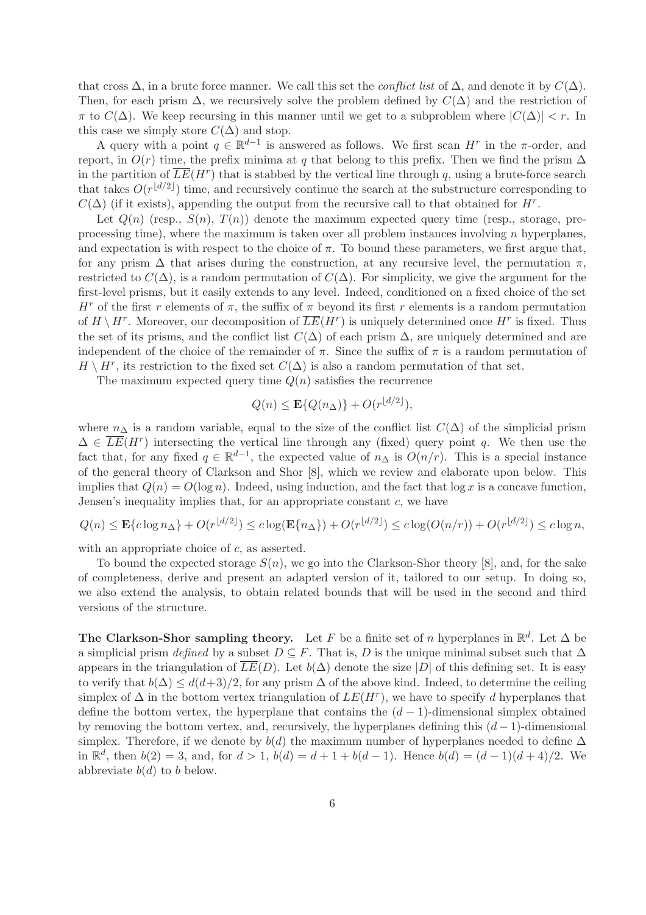that cross  $\Delta$ , in a brute force manner. We call this set the *conflict list* of  $\Delta$ , and denote it by  $C(\Delta)$ . Then, for each prism  $\Delta$ , we recursively solve the problem defined by  $C(\Delta)$  and the restriction of  $\pi$  to  $C(\Delta)$ . We keep recursing in this manner until we get to a subproblem where  $|C(\Delta)| < r$ . In this case we simply store  $C(\Delta)$  and stop.

A query with a point  $q \in \mathbb{R}^{d-1}$  is answered as follows. We first scan  $H^r$  in the  $\pi$ -order, and report, in  $O(r)$  time, the prefix minima at q that belong to this prefix. Then we find the prism  $\Delta$ in the partition of  $\overline{LE}(H^r)$  that is stabbed by the vertical line through q, using a brute-force search that takes  $O(r^{\lfloor d/2 \rfloor})$  time, and recursively continue the search at the substructure corresponding to  $C(\Delta)$  (if it exists), appending the output from the recursive call to that obtained for  $H^r$ .

Let  $Q(n)$  (resp.,  $S(n)$ ,  $T(n)$ ) denote the maximum expected query time (resp., storage, preprocessing time), where the maximum is taken over all problem instances involving  $n$  hyperplanes, and expectation is with respect to the choice of  $\pi$ . To bound these parameters, we first argue that, for any prism  $\Delta$  that arises during the construction, at any recursive level, the permutation  $\pi$ , restricted to  $C(\Delta)$ , is a random permutation of  $C(\Delta)$ . For simplicity, we give the argument for the first-level prisms, but it easily extends to any level. Indeed, conditioned on a fixed choice of the set H<sup>r</sup> of the first r elements of  $\pi$ , the suffix of  $\pi$  beyond its first r elements is a random permutation of  $H \setminus H^r$ . Moreover, our decomposition of  $\overline{LE}(H^r)$  is uniquely determined once  $H^r$  is fixed. Thus the set of its prisms, and the conflict list  $C(\Delta)$  of each prism  $\Delta$ , are uniquely determined and are independent of the choice of the remainder of  $\pi$ . Since the suffix of  $\pi$  is a random permutation of  $H \setminus H^r$ , its restriction to the fixed set  $C(\Delta)$  is also a random permutation of that set.

The maximum expected query time  $Q(n)$  satisfies the recurrence

$$
Q(n) \leq \mathbf{E}\{Q(n_{\Delta})\} + O(r^{\lfloor d/2 \rfloor}),
$$

where  $n_{\Delta}$  is a random variable, equal to the size of the conflict list  $C(\Delta)$  of the simplicial prism  $\Delta \in \overline{LE}(H^r)$  intersecting the vertical line through any (fixed) query point q. We then use the fact that, for any fixed  $q \in \mathbb{R}^{d-1}$ , the expected value of  $n_{\Delta}$  is  $O(n/r)$ . This is a special instance of the general theory of Clarkson and Shor [8], which we review and elaborate upon below. This implies that  $Q(n) = O(\log n)$ . Indeed, using induction, and the fact that  $\log x$  is a concave function, Jensen's inequality implies that, for an appropriate constant  $c$ , we have

$$
Q(n) \le \mathbf{E}\{c \log n_{\Delta}\} + O(r^{\lfloor d/2 \rfloor}) \le c \log(\mathbf{E}\{n_{\Delta}\}) + O(r^{\lfloor d/2 \rfloor}) \le c \log(O(n/r)) + O(r^{\lfloor d/2 \rfloor}) \le c \log n,
$$

with an appropriate choice of c, as asserted.

To bound the expected storage  $S(n)$ , we go into the Clarkson-Shor theory [8], and, for the sake of completeness, derive and present an adapted version of it, tailored to our setup. In doing so, we also extend the analysis, to obtain related bounds that will be used in the second and third versions of the structure.

The Clarkson-Shor sampling theory. Let F be a finite set of n hyperplanes in  $\mathbb{R}^d$ . Let  $\Delta$  be a simplicial prism defined by a subset  $D \subseteq F$ . That is, D is the unique minimal subset such that  $\Delta$ appears in the triangulation of  $LE(D)$ . Let  $b(\Delta)$  denote the size  $|D|$  of this defining set. It is easy to verify that  $b(\Delta) \leq d(d+3)/2$ , for any prism  $\Delta$  of the above kind. Indeed, to determine the ceiling simplex of  $\Delta$  in the bottom vertex triangulation of  $LE(H^r)$ , we have to specify d hyperplanes that define the bottom vertex, the hyperplane that contains the  $(d-1)$ -dimensional simplex obtained by removing the bottom vertex, and, recursively, the hyperplanes defining this  $(d-1)$ -dimensional simplex. Therefore, if we denote by  $b(d)$  the maximum number of hyperplanes needed to define  $\Delta$ in  $\mathbb{R}^d$ , then  $b(2) = 3$ , and, for  $d > 1$ ,  $b(d) = d + 1 + b(d - 1)$ . Hence  $b(d) = (d - 1)(d + 4)/2$ . We abbreviate  $b(d)$  to b below.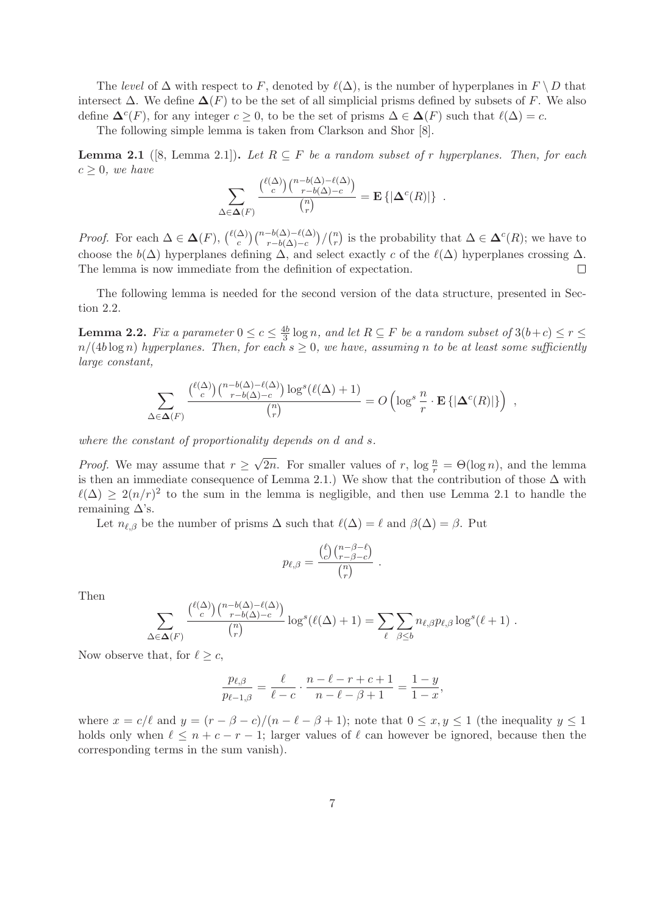The level of  $\Delta$  with respect to F, denoted by  $\ell(\Delta)$ , is the number of hyperplanes in  $F \setminus D$  that intersect  $\Delta$ . We define  $\Delta(F)$  to be the set of all simplicial prisms defined by subsets of F. We also define  $\Delta^{c}(F)$ , for any integer  $c \geq 0$ , to be the set of prisms  $\Delta \in \Delta(F)$  such that  $\ell(\Delta) = c$ .

The following simple lemma is taken from Clarkson and Shor [8].

**Lemma 2.1** ([8, Lemma 2.1]). Let  $R \subseteq F$  be a random subset of r hyperplanes. Then, for each  $c \geq 0$ , we have

$$
\sum_{\Delta \in \Delta(F)} \frac{\binom{\ell(\Delta)}{c} \binom{n-b(\Delta)-\ell(\Delta)}{r-b(\Delta)-c}}{\binom{n}{r}} = \mathbf{E} \{ |\Delta^{c}(R)| \} .
$$

*Proof.* For each  $\Delta \in \Delta(F)$ ,  $\binom{\ell(\Delta)}{c}$  $\binom{\Delta}{c}\binom{n-b(\Delta)-\ell(\Delta)}{r-b(\Delta)-c}/\binom{n}{r}$  $\binom{n}{r}$  is the probability that  $\Delta \in \mathbf{\Delta}^c(R)$ ; we have to choose the  $b(\Delta)$  hyperplanes defining  $\Delta$ , and select exactly c of the  $\ell(\Delta)$  hyperplanes crossing  $\Delta$ . The lemma is now immediate from the definition of expectation.  $\Box$ 

The following lemma is needed for the second version of the data structure, presented in Section 2.2.

**Lemma 2.2.** Fix a parameter  $0 \leq c \leq \frac{4b}{3}$  $\frac{15}{3}$  log n, and let  $R \subseteq F$  be a random subset of  $3(b+c) \leq r \leq$  $n/(4b \log n)$  hyperplanes. Then, for each  $s \geq 0$ , we have, assuming n to be at least some sufficiently large constant,

$$
\sum_{\Delta \in \Delta(F)} \frac{\binom{\ell(\Delta)}{c} \binom{n - b(\Delta) - \ell(\Delta)}{r - b(\Delta) - c} \log^s(\ell(\Delta) + 1)}{\binom{n}{r}} = O\left(\log^s \frac{n}{r} \cdot \mathbf{E}\left\{|\Delta^c(R)|\right\}\right) ,
$$

where the constant of proportionality depends on d and s.

*Proof.* We may assume that  $r \geq \sqrt{2n}$ . For smaller values of r,  $\log \frac{n}{r} = \Theta(\log n)$ , and the lemma is then an immediate consequence of Lemma 2.1.) We show that the contribution of those  $\Delta$  with  $\ell(\Delta) \geq 2(n/r)^2$  to the sum in the lemma is negligible, and then use Lemma 2.1 to handle the remaining  $\Delta$ 's.

Let  $n_{\ell,\beta}$  be the number of prisms  $\Delta$  such that  $\ell(\Delta) = \ell$  and  $\beta(\Delta) = \beta$ . Put

$$
p_{\ell,\beta} = \frac{\binom{\ell}{c}\binom{n-\beta-\ell}{r-\beta-c}}{\binom{n}{r}}.
$$

Then

$$
\sum_{\Delta \in \Delta(F)} \frac{\binom{\ell(\Delta)}{c} \binom{n - b(\Delta) - \ell(\Delta)}{r - b(\Delta) - c}}{\binom{n}{r}} \log^s(\ell(\Delta) + 1) = \sum_{\ell} \sum_{\beta \leq b} n_{\ell, \beta} p_{\ell, \beta} \log^s(\ell + 1) .
$$

Now observe that, for  $\ell \geq c$ ,

$$
\frac{p_{\ell,\beta}}{p_{\ell-1,\beta}} = \frac{\ell}{\ell - c} \cdot \frac{n - \ell - r + c + 1}{n - \ell - \beta + 1} = \frac{1 - y}{1 - x},
$$

where  $x = c/\ell$  and  $y = (r - \beta - c)/(n - \ell - \beta + 1)$ ; note that  $0 \le x, y \le 1$  (the inequality  $y \le 1$ ) holds only when  $\ell \leq n + c - r - 1$ ; larger values of  $\ell$  can however be ignored, because then the corresponding terms in the sum vanish).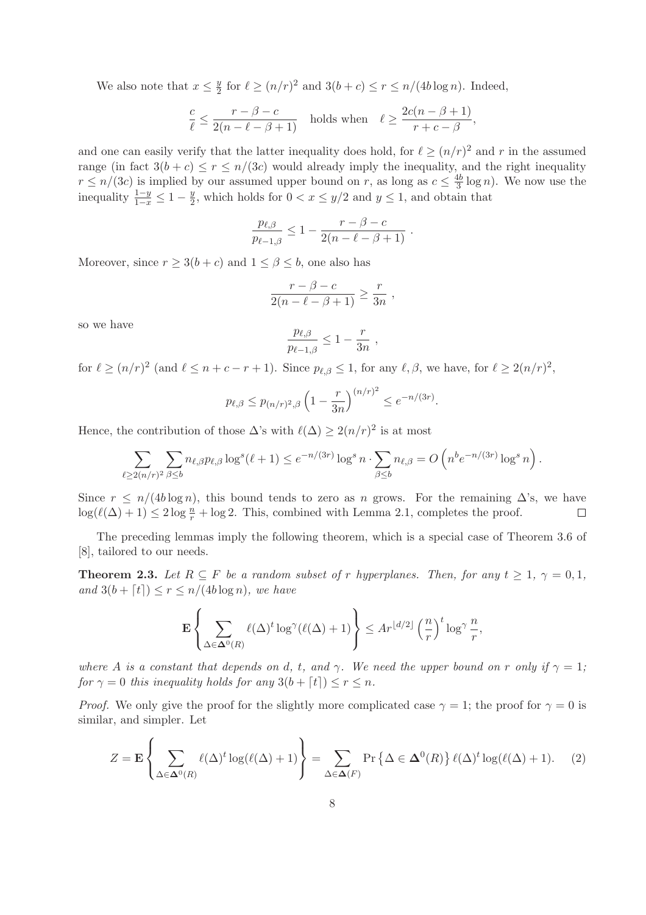We also note that  $x \leq \frac{y}{2}$  $\frac{y}{2}$  for  $\ell \ge (n/r)^2$  and  $3(b+c) \le r \le n/(4b \log n)$ . Indeed,

$$
\frac{c}{\ell} \le \frac{r - \beta - c}{2(n - \ell - \beta + 1)}
$$
 holds when  $\ell \ge \frac{2c(n - \beta + 1)}{r + c - \beta}$ ,

and one can easily verify that the latter inequality does hold, for  $\ell \geq (n/r)^2$  and r in the assumed range (in fact  $3(b + c) \le r \le n/(3c)$  would already imply the inequality, and the right inequality  $r \leq n/(3c)$  is implied by our assumed upper bound on r, as long as  $c \leq \frac{4b}{3}$  $\frac{1}{3}$  log *n*). We now use the inequality  $\frac{1-y}{1-x} \leq 1 - \frac{y}{2}$  $\frac{y}{2}$ , which holds for  $0 < x \leq y/2$  and  $y \leq 1$ , and obtain that

$$
\frac{p_{\ell,\beta}}{p_{\ell-1,\beta}} \leq 1 - \frac{r-\beta-c}{2(n-\ell-\beta+1)}.
$$

Moreover, since  $r \geq 3(b+c)$  and  $1 \leq \beta \leq b$ , one also has

$$
\frac{r-\beta-c}{2(n-\ell-\beta+1)} \ge \frac{r}{3n} ,
$$

so we have

$$
\frac{p_{\ell,\beta}}{p_{\ell-1,\beta}} \leq 1 - \frac{r}{3n} \;,
$$

for  $\ell \ge (n/r)^2$  (and  $\ell \le n+c-r+1$ ). Since  $p_{\ell,\beta} \le 1$ , for any  $\ell,\beta$ , we have, for  $\ell \ge 2(n/r)^2$ ,

$$
p_{\ell,\beta} \le p_{(n/r)^2,\beta} \left(1 - \frac{r}{3n}\right)^{(n/r)^2} \le e^{-n/(3r)}.
$$

Hence, the contribution of those  $\Delta$ 's with  $\ell(\Delta) \geq 2(n/r)^2$  is at most

$$
\sum_{\ell \geq 2(n/r)^2} \sum_{\beta \leq b} n_{\ell,\beta} p_{\ell,\beta} \log^s(\ell+1) \leq e^{-n/(3r)} \log^s n \cdot \sum_{\beta \leq b} n_{\ell,\beta} = O\left(n^b e^{-n/(3r)} \log^s n\right).
$$

Since  $r \le n/(4b \log n)$ , this bound tends to zero as n grows. For the remaining  $\Delta$ 's, we have  $\log(\ell(\Delta) + 1) < 2 \log \frac{n}{2} + \log 2$ . This, combined with Lemma 2.1, completes the proof.  $\log(\ell(\Delta) + 1) \leq 2 \log \frac{n}{r} + \log 2$ . This, combined with Lemma 2.1, completes the proof.

The preceding lemmas imply the following theorem, which is a special case of Theorem 3.6 of [8], tailored to our needs.

**Theorem 2.3.** Let  $R \subseteq F$  be a random subset of r hyperplanes. Then, for any  $t \geq 1$ ,  $\gamma = 0, 1$ , and  $3(b + \lceil t \rceil) \leq r \leq n/(4b \log n)$ , we have

$$
\mathbf{E}\left\{\sum_{\Delta\in\mathbf{\Delta}^0(R)}\ell(\Delta)^t\log^{\gamma}(\ell(\Delta)+1)\right\}\leq Ar^{\lfloor d/2\rfloor}\left(\frac{n}{r}\right)^t\log^{\gamma}\frac{n}{r},
$$

where A is a constant that depends on d, t, and  $\gamma$ . We need the upper bound on r only if  $\gamma = 1$ ; for  $\gamma = 0$  this inequality holds for any  $3(b + \lceil t \rceil) \leq r \leq n$ .

*Proof.* We only give the proof for the slightly more complicated case  $\gamma = 1$ ; the proof for  $\gamma = 0$  is similar, and simpler. Let

$$
Z = \mathbf{E} \left\{ \sum_{\Delta \in \mathbf{\Delta}^0(R)} \ell(\Delta)^t \log(\ell(\Delta) + 1) \right\} = \sum_{\Delta \in \mathbf{\Delta}(F)} \Pr \left\{ \Delta \in \mathbf{\Delta}^0(R) \right\} \ell(\Delta)^t \log(\ell(\Delta) + 1). \tag{2}
$$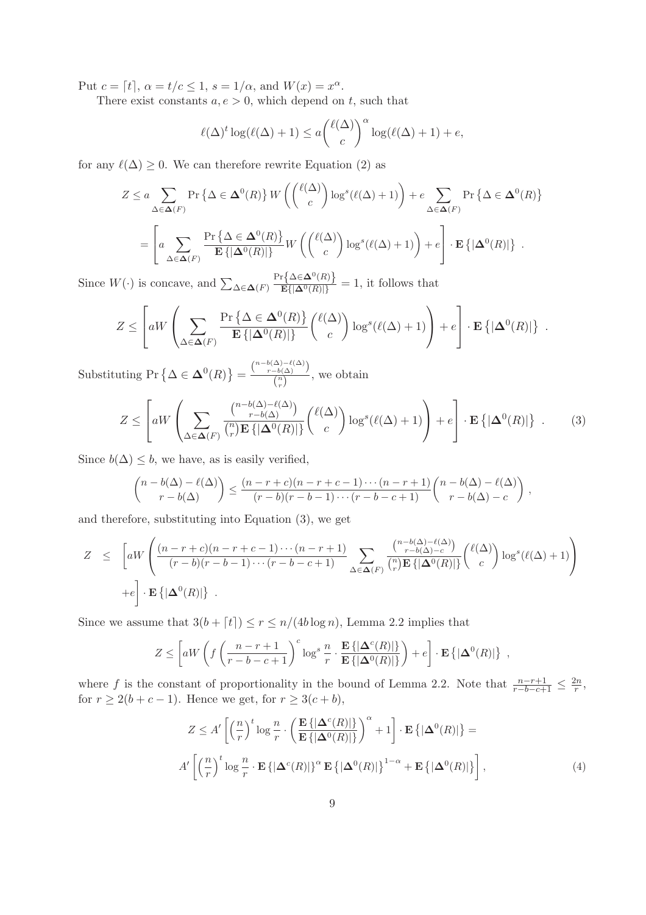Put  $c = [t]$ ,  $\alpha = t/c \leq 1$ ,  $s = 1/\alpha$ , and  $W(x) = x^{\alpha}$ .

There exist constants  $a, e > 0$ , which depend on t, such that

$$
\ell(\Delta)^{t} \log(\ell(\Delta) + 1) \le a \binom{\ell(\Delta)}{c}^{\alpha} \log(\ell(\Delta) + 1) + e,
$$

for any  $\ell(\Delta) \geq 0$ . We can therefore rewrite Equation (2) as

$$
Z \le a \sum_{\Delta \in \Delta(F)} \Pr \{ \Delta \in \Delta^0(R) \} W \left( \binom{\ell(\Delta)}{c} \log^s(\ell(\Delta) + 1) \right) + e \sum_{\Delta \in \Delta(F)} \Pr \{ \Delta \in \Delta^0(R) \}
$$
  
= 
$$
\left[ a \sum_{\Delta \in \Delta(F)} \frac{\Pr \{ \Delta \in \Delta^0(R) \}}{\mathbf{E} \{ |\Delta^0(R) | \}} W \left( \binom{\ell(\Delta)}{c} \log^s(\ell(\Delta) + 1) \right) + e \right] \cdot \mathbf{E} \{ |\Delta^0(R) | \} .
$$

Since  $W(\cdot)$  is concave, and  $\sum_{\Delta \in \mathbf{\Delta}(F)} \frac{\Pr\{\Delta \in \mathbf{\Delta}^0(R)\}}{\mathbb{E}\{|\Delta^0(R)|\}} = 1$ , it follows that

$$
Z \leq \left[ aW \left( \sum_{\Delta \in \Delta(F)} \frac{\Pr\left\{ \Delta \in \Delta^0(R) \right\}}{\mathbf{E} \left\{ |\Delta^0(R)| \right\}} {\ell(\Delta) \choose c} \log^s(\ell(\Delta) + 1) \right) + e \right] \cdot \mathbf{E} \left\{ |\Delta^0(R)| \right\} .
$$

Substituting Pr  $\left\{ \Delta \in \mathbf{\Delta}^0(R) \right\} = \frac{\binom{n - b(\Delta) - \ell(\Delta)}{r - b(\Delta)}}{\binom{n}{n}}$  $\frac{-b(\Delta)}{\binom{n}{r}}$ , we obtain

$$
Z \leq \left[ aW \left( \sum_{\Delta \in \Delta(F)} \frac{\binom{n - b(\Delta) - \ell(\Delta)}{r - b(\Delta)}}{\binom{n}{r} \mathbf{E} \{ |\Delta^0(R)| \}} {\binom{\ell(\Delta)}{c}} \log^s (\ell(\Delta) + 1) \right) + e \right] \cdot \mathbf{E} \{ |\Delta^0(R)| \} . \tag{3}
$$

Since  $b(\Delta) \leq b$ , we have, as is easily verified,

$$
\binom{n-b(\Delta)-\ell(\Delta)}{r-b(\Delta)} \leq \frac{(n-r+c)(n-r+c-1)\cdots(n-r+1)}{(r-b)(r-b-1)\cdots(r-b-c+1)}\binom{n-b(\Delta)-\ell(\Delta)}{r-b(\Delta)-c},
$$

and therefore, substituting into Equation (3), we get

$$
Z \leq \left[ aW \left( \frac{(n-r+c)(n-r+c-1)\cdots(n-r+1)}{(r-b)(r-b-1)\cdots(r-b-c+1)} \sum_{\Delta \in \Delta(F)} \frac{\binom{n-b(\Delta)-\ell(\Delta)}{r-b(\Delta)-c}}{\binom{n}{r} \mathbf{E} \{|\Delta^0(R)|\}} {\binom{\ell(\Delta)}{c}} \log^s(\ell(\Delta)+1) \right) + e \right].
$$

Since we assume that  $3(b + \lceil t \rceil) \le r \le n/(4b \log n)$ , Lemma 2.2 implies that

$$
Z \leq \left[ aW \left( f \left( \frac{n-r+1}{r-b-c+1} \right)^c \log^s \frac{n}{r} \cdot \frac{\mathbf{E} \left\{ |\mathbf{\Delta}^c(R)| \right\}}{\mathbf{E} \left\{ |\mathbf{\Delta}^0(R)| \right\}} \right) + e \right] \cdot \mathbf{E} \left\{ |\mathbf{\Delta}^0(R)| \right\} ,
$$

where f is the constant of proportionality in the bound of Lemma 2.2. Note that  $\frac{n-r+1}{r-b-c+1} \leq \frac{2n}{r}$  $\frac{2n}{r},$ for  $r \ge 2(b+c-1)$ . Hence we get, for  $r \ge 3(c+b)$ ,

$$
Z \le A' \left[ \left( \frac{n}{r} \right)^t \log \frac{n}{r} \cdot \left( \frac{\mathbf{E} \left\{ |\Delta^c(R)| \right\}}{\mathbf{E} \left\{ |\Delta^0(R)| \right\}} \right)^{\alpha} + 1 \right] \cdot \mathbf{E} \left\{ |\Delta^0(R)| \right\} =
$$
  

$$
A' \left[ \left( \frac{n}{r} \right)^t \log \frac{n}{r} \cdot \mathbf{E} \left\{ |\Delta^c(R)| \right\}^{\alpha} \mathbf{E} \left\{ |\Delta^0(R)| \right\}^{1-\alpha} + \mathbf{E} \left\{ |\Delta^0(R)| \right\} \right],
$$
 (4)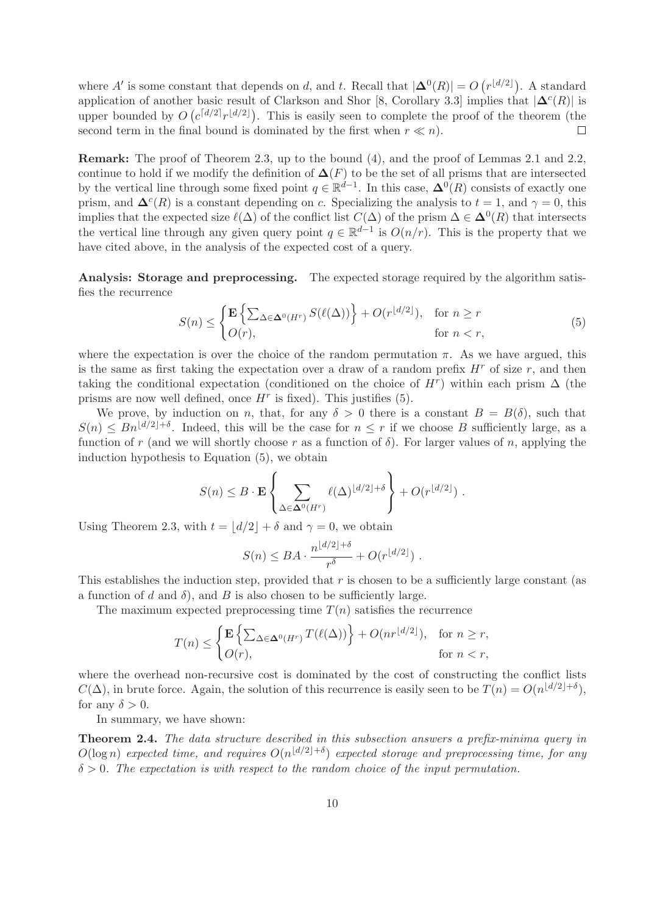where A' is some constant that depends on d, and t. Recall that  $|\Delta^{0}(R)| = O(r^{\lfloor d/2 \rfloor})$ . A standard application of another basic result of Clarkson and Shor [8, Corollary 3.3] implies that  $|\mathbf{\Delta}^c(R)|$  is upper bounded by  $O\left(\frac{c^{[d/2]}r^{[d/2]}}{\cdot}\right)$ . This is easily seen to complete the proof of the theorem (the second term in the final bound is dominated by the first when  $r \ll n$ .  $\Box$ 

Remark: The proof of Theorem 2.3, up to the bound (4), and the proof of Lemmas 2.1 and 2.2, continue to hold if we modify the definition of  $\Delta(F)$  to be the set of all prisms that are intersected by the vertical line through some fixed point  $q \in \mathbb{R}^{d-1}$ . In this case,  $\mathbf{\Delta}^0(R)$  consists of exactly one prism, and  $\Delta^{c}(R)$  is a constant depending on c. Specializing the analysis to  $t = 1$ , and  $\gamma = 0$ , this implies that the expected size  $\ell(\Delta)$  of the conflict list  $C(\Delta)$  of the prism  $\Delta \in \mathbf{\Delta}^0(R)$  that intersects the vertical line through any given query point  $q \in \mathbb{R}^{d-1}$  is  $O(n/r)$ . This is the property that we have cited above, in the analysis of the expected cost of a query.

Analysis: Storage and preprocessing. The expected storage required by the algorithm satisfies the recurrence

$$
S(n) \leq \begin{cases} \mathbf{E} \left\{ \sum_{\Delta \in \mathbf{\Delta}^0(H^r)} S(\ell(\Delta)) \right\} + O(r^{\lfloor d/2 \rfloor}), & \text{for } n \geq r \\ O(r), & \text{for } n < r, \end{cases} \tag{5}
$$

where the expectation is over the choice of the random permutation  $\pi$ . As we have argued, this is the same as first taking the expectation over a draw of a random prefix  $H<sup>r</sup>$  of size r, and then taking the conditional expectation (conditioned on the choice of  $H<sup>r</sup>$ ) within each prism  $\Delta$  (the prisms are now well defined, once  $H^r$  is fixed). This justifies (5).

We prove, by induction on n, that, for any  $\delta > 0$  there is a constant  $B = B(\delta)$ , such that  $S(n) \leq Bn^{\lfloor d/2 \rfloor + \delta}$ . Indeed, this will be the case for  $n \leq r$  if we choose B sufficiently large, as a function of r (and we will shortly choose r as a function of  $\delta$ ). For larger values of n, applying the induction hypothesis to Equation (5), we obtain

$$
S(n) \leq B \cdot \mathbf{E} \left\{ \sum_{\Delta \in \mathbf{\Delta}^0(H^r)} \ell(\Delta)^{\lfloor d/2 \rfloor + \delta} \right\} + O(r^{\lfloor d/2 \rfloor}).
$$

Using Theorem 2.3, with  $t = |d/2| + \delta$  and  $\gamma = 0$ , we obtain

$$
S(n) \leq BA \cdot \frac{n^{\lfloor d/2 \rfloor + \delta}}{r^{\delta}} + O(r^{\lfloor d/2 \rfloor}).
$$

This establishes the induction step, provided that  $r$  is chosen to be a sufficiently large constant (as a function of d and  $\delta$ ), and B is also chosen to be sufficiently large.

The maximum expected preprocessing time  $T(n)$  satisfies the recurrence

$$
T(n) \leq \begin{cases} \mathbf{E} \left\{ \sum_{\Delta \in \mathbf{\Delta}^0(H^r)} T(\ell(\Delta)) \right\} + O(nr^{\lfloor d/2 \rfloor}), & \text{for } n \geq r, \\ O(r), & \text{for } n < r, \end{cases}
$$

where the overhead non-recursive cost is dominated by the cost of constructing the conflict lists  $C(\Delta)$ , in brute force. Again, the solution of this recurrence is easily seen to be  $T(n) = O(n^{\lfloor d/2 \rfloor + \delta})$ , for any  $\delta > 0$ .

In summary, we have shown:

Theorem 2.4. The data structure described in this subsection answers a prefix-minima query in  $O(\log n)$  expected time, and requires  $O(n^{\lfloor d/2 \rfloor + \delta})$  expected storage and preprocessing time, for any  $\delta > 0$ . The expectation is with respect to the random choice of the input permutation.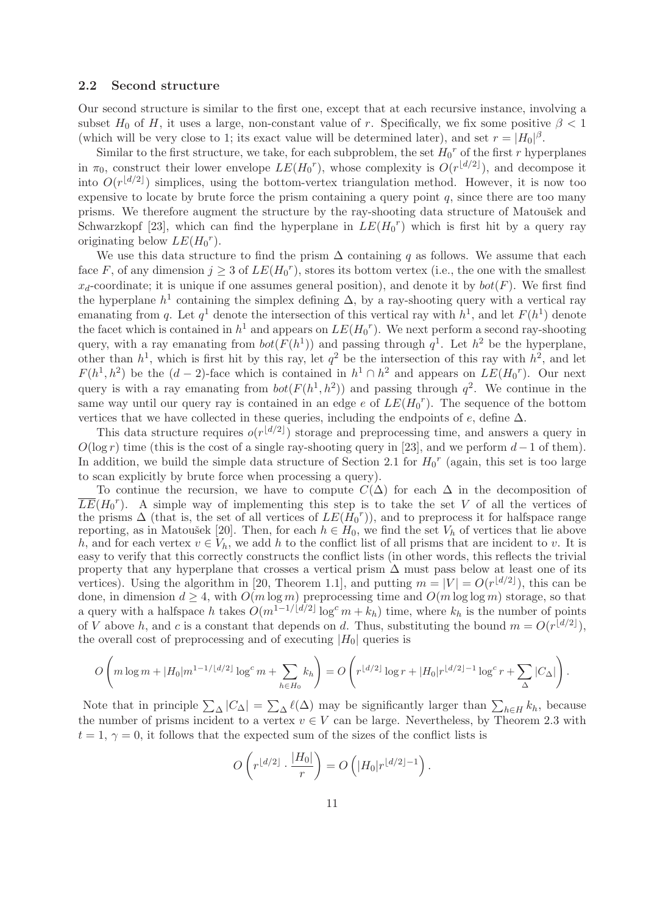#### 2.2 Second structure

Our second structure is similar to the first one, except that at each recursive instance, involving a subset  $H_0$  of H, it uses a large, non-constant value of r. Specifically, we fix some positive  $\beta < 1$ (which will be very close to 1; its exact value will be determined later), and set  $r = |H_0|^{\beta}$ .

Similar to the first structure, we take, for each subproblem, the set  $H_0^r$  of the first r hyperplanes in  $\pi_0$ , construct their lower envelope  $LE(H_0^r)$ , whose complexity is  $O(r^{\lfloor d/2 \rfloor})$ , and decompose it into  $O(r^{\lfloor d/2 \rfloor})$  simplices, using the bottom-vertex triangulation method. However, it is now too expensive to locate by brute force the prism containing a query point  $q$ , since there are too many prisms. We therefore augment the structure by the ray-shooting data structure of Matoušek and Schwarzkopf [23], which can find the hyperplane in  $LE(H_0^r)$  which is first hit by a query ray originating below  $LE(H_0^r)$ .

We use this data structure to find the prism  $\Delta$  containing q as follows. We assume that each face F, of any dimension  $j \geq 3$  of  $LE(H_0^r)$ , stores its bottom vertex (i.e., the one with the smallest  $x_d$ -coordinate; it is unique if one assumes general position), and denote it by  $bot(F)$ . We first find the hyperplane  $h^1$  containing the simplex defining  $\Delta$ , by a ray-shooting query with a vertical ray emanating from q. Let  $q<sup>1</sup>$  denote the intersection of this vertical ray with  $h<sup>1</sup>$ , and let  $F(h<sup>1</sup>)$  denote the facet which is contained in  $h^1$  and appears on  $LE(H_0^r)$ . We next perform a second ray-shooting query, with a ray emanating from  $bot(F(h^1))$  and passing through  $q^1$ . Let  $h^2$  be the hyperplane, other than  $h^1$ , which is first hit by this ray, let  $q^2$  be the intersection of this ray with  $h^2$ , and let  $F(h^1, h^2)$  be the  $(d-2)$ -face which is contained in  $h^1 \cap h^2$  and appears on  $LE(H_0^r)$ . Our next query is with a ray emanating from  $bot(F(h^1, h^2))$  and passing through  $q^2$ . We continue in the same way until our query ray is contained in an edge  $e$  of  $LE(H_0^r)$ . The sequence of the bottom vertices that we have collected in these queries, including the endpoints of  $e$ , define  $\Delta$ .

This data structure requires  $o(r^{\lfloor d/2 \rfloor})$  storage and preprocessing time, and answers a query in  $O(\log r)$  time (this is the cost of a single ray-shooting query in [23], and we perform  $d-1$  of them). In addition, we build the simple data structure of Section 2.1 for  $H_0^r$  (again, this set is too large to scan explicitly by brute force when processing a query).

To continue the recursion, we have to compute  $C(\Delta)$  for each  $\Delta$  in the decomposition of  $\overline{LE}(H_0^r)$ . A simple way of implementing this step is to take the set V of all the vertices of the prisms  $\Delta$  (that is, the set of all vertices of  $LE(\tilde{H}_0^r)$ ), and to preprocess it for halfspace range reporting, as in Matoušek [20]. Then, for each  $h \in H_0$ , we find the set  $V_h$  of vertices that lie above h, and for each vertex  $v \in V_h$ , we add h to the conflict list of all prisms that are incident to v. It is easy to verify that this correctly constructs the conflict lists (in other words, this reflects the trivial property that any hyperplane that crosses a vertical prism  $\Delta$  must pass below at least one of its vertices). Using the algorithm in [20, Theorem 1.1], and putting  $m = |V| = O(r^{\lfloor d/2 \rfloor})$ , this can be done, in dimension  $d \geq 4$ , with  $O(m \log m)$  preprocessing time and  $O(m \log \log m)$  storage, so that a query with a halfspace h takes  $O(m^{1-1/(d/2)} \log^c m + k_h)$  time, where  $k_h$  is the number of points of V above h, and c is a constant that depends on d. Thus, substituting the bound  $m = O(r^{\lfloor d/2 \rfloor})$ , the overall cost of preprocessing and of executing  $|H_0|$  queries is

$$
O\left(m\log m + |H_0|m^{1-1/(d/2)}\log^c m + \sum_{h\in H_0} k_h\right) = O\left(r^{\lfloor d/2 \rfloor}\log r + |H_0|r^{\lfloor d/2 \rfloor - 1}\log^c r + \sum_{\Delta} |C_{\Delta}|\right).
$$

Note that in principle  $\sum_{\Delta} |C_{\Delta}| = \sum_{\Delta} \ell(\Delta)$  may be significantly larger than  $\sum_{h \in H} k_h$ , because the number of prisms incident to a vertex  $v \in V$  can be large. Nevertheless, by Theorem 2.3 with  $t = 1, \gamma = 0$ , it follows that the expected sum of the sizes of the conflict lists is

$$
O\left(r^{\lfloor d/2 \rfloor} \cdot \frac{|H_0|}{r}\right) = O\left(|H_0|r^{\lfloor d/2 \rfloor - 1}\right).
$$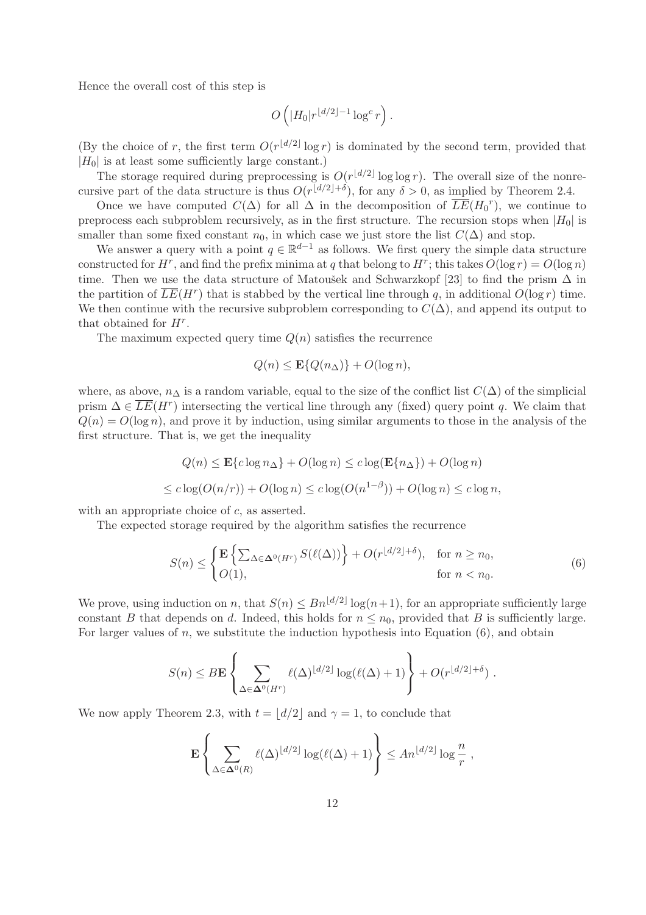Hence the overall cost of this step is

$$
O\left(|H_0|r^{\lfloor d/2\rfloor-1}\log^c r\right).
$$

(By the choice of r, the first term  $O(r^{\lfloor d/2 \rfloor} \log r)$  is dominated by the second term, provided that  $|H_0|$  is at least some sufficiently large constant.)

The storage required during preprocessing is  $O(r^{\lfloor d/2 \rfloor} \log \log r)$ . The overall size of the nonrecursive part of the data structure is thus  $O(r^{\lfloor d/2 \rfloor + \delta})$ , for any  $\delta > 0$ , as implied by Theorem 2.4.

Once we have computed  $C(\Delta)$  for all  $\Delta$  in the decomposition of  $\overline{LE}(H_0^r)$ , we continue to preprocess each subproblem recursively, as in the first structure. The recursion stops when  $|H_0|$  is smaller than some fixed constant  $n_0$ , in which case we just store the list  $C(\Delta)$  and stop.

We answer a query with a point  $q \in \mathbb{R}^{d-1}$  as follows. We first query the simple data structure constructed for  $H^r$ , and find the prefix minima at q that belong to  $H^r$ ; this takes  $O(\log r) = O(\log n)$ time. Then we use the data structure of Matoušek and Schwarzkopf [23] to find the prism  $\Delta$  in the partition of  $\overline{LE}(H^r)$  that is stabbed by the vertical line through q, in additional  $O(\log r)$  time. We then continue with the recursive subproblem corresponding to  $C(\Delta)$ , and append its output to that obtained for  $H^r$ .

The maximum expected query time  $Q(n)$  satisfies the recurrence

$$
Q(n) \le \mathbf{E}\{Q(n_{\Delta})\} + O(\log n),
$$

where, as above,  $n_\Delta$  is a random variable, equal to the size of the conflict list  $C(\Delta)$  of the simplicial prism  $\Delta \in \overline{LE}(H^r)$  intersecting the vertical line through any (fixed) query point q. We claim that  $Q(n) = O(\log n)$ , and prove it by induction, using similar arguments to those in the analysis of the first structure. That is, we get the inequality

$$
Q(n) \le \mathbf{E}\{c\log n_{\Delta}\} + O(\log n) \le c\log(\mathbf{E}\{n_{\Delta}\}) + O(\log n)
$$
  

$$
\le c\log(O(n/r)) + O(\log n) \le c\log(O(n^{1-\beta})) + O(\log n) \le c\log n,
$$

with an appropriate choice of c, as asserted.

The expected storage required by the algorithm satisfies the recurrence

$$
S(n) \leq \begin{cases} \mathbf{E} \left\{ \sum_{\Delta \in \mathbf{\Delta}^0(H^r)} S(\ell(\Delta)) \right\} + O(r^{\lfloor d/2 \rfloor + \delta}), & \text{for } n \geq n_0, \\ O(1), & \text{for } n < n_0. \end{cases} \tag{6}
$$

We prove, using induction on n, that  $S(n) \leq Bn^{\lfloor d/2 \rfloor} \log(n+1)$ , for an appropriate sufficiently large constant B that depends on d. Indeed, this holds for  $n \leq n_0$ , provided that B is sufficiently large. For larger values of n, we substitute the induction hypothesis into Equation  $(6)$ , and obtain

$$
S(n) \leq B \mathbf{E} \left\{ \sum_{\Delta \in \mathbf{\Delta}^0(H^r)} \ell(\Delta)^{\lfloor d/2 \rfloor} \log(\ell(\Delta) + 1) \right\} + O(r^{\lfloor d/2 \rfloor + \delta}).
$$

We now apply Theorem 2.3, with  $t = |d/2|$  and  $\gamma = 1$ , to conclude that

$$
\mathbf{E}\left\{\sum_{\Delta\in\mathbf{\Delta}^0(R)}\ell(\Delta)^{\lfloor d/2\rfloor}\log(\ell(\Delta)+1)\right\}\leq An^{\lfloor d/2\rfloor}\log\frac{n}{r},\,
$$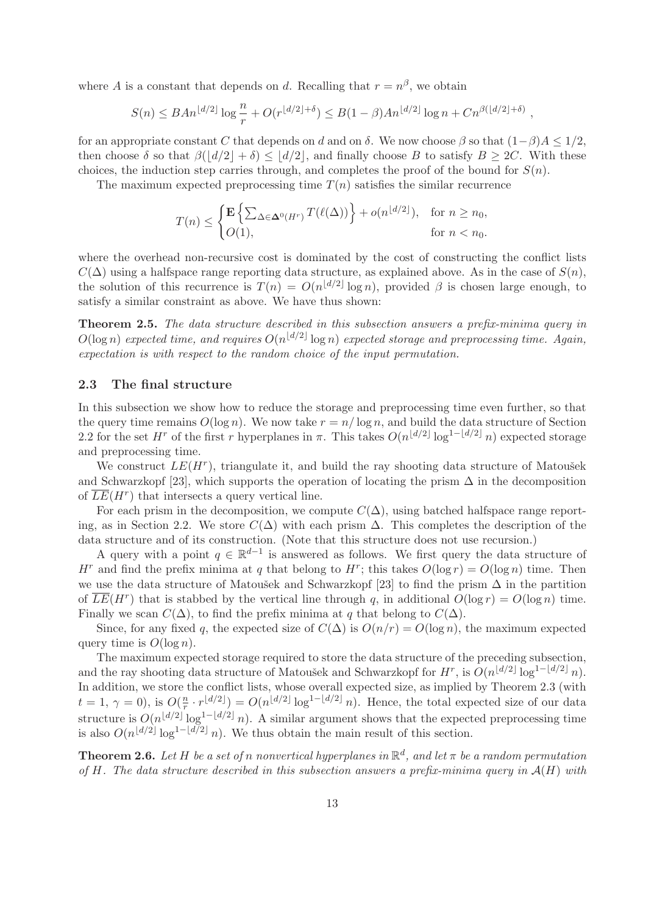where A is a constant that depends on d. Recalling that  $r = n^{\beta}$ , we obtain

$$
S(n) \leq BA n^{\lfloor d/2 \rfloor} \log \frac{n}{r} + O(r^{\lfloor d/2 \rfloor + \delta}) \leq B(1-\beta)A n^{\lfloor d/2 \rfloor} \log n + C n^{\beta(\lfloor d/2 \rfloor + \delta)},
$$

for an appropriate constant C that depends on d and on  $\delta$ . We now choose  $\beta$  so that  $(1-\beta)A \leq 1/2$ , then choose  $\delta$  so that  $\beta(|d/2| + \delta) \leq |d/2|$ , and finally choose B to satisfy  $B \geq 2C$ . With these choices, the induction step carries through, and completes the proof of the bound for  $S(n)$ .

The maximum expected preprocessing time  $T(n)$  satisfies the similar recurrence

$$
T(n) \le \begin{cases} \mathbf{E} \left\{ \sum_{\Delta \in \mathbf{\Delta}^0(H^r)} T(\ell(\Delta)) \right\} + o(n^{\lfloor d/2 \rfloor}), & \text{for } n \ge n_0, \\ O(1), & \text{for } n < n_0. \end{cases}
$$

where the overhead non-recursive cost is dominated by the cost of constructing the conflict lists  $C(\Delta)$  using a halfspace range reporting data structure, as explained above. As in the case of  $S(n)$ , the solution of this recurrence is  $T(n) = O(n^{\lfloor d/2 \rfloor} \log n)$ , provided  $\beta$  is chosen large enough, to satisfy a similar constraint as above. We have thus shown:

Theorem 2.5. The data structure described in this subsection answers a prefix-minima query in  $O(\log n)$  expected time, and requires  $O(n^{\lfloor d/2 \rfloor} \log n)$  expected storage and preprocessing time. Again, expectation is with respect to the random choice of the input permutation.

#### 2.3 The final structure

In this subsection we show how to reduce the storage and preprocessing time even further, so that the query time remains  $O(\log n)$ . We now take  $r = n/\log n$ , and build the data structure of Section 2.2 for the set H<sup>r</sup> of the first r hyperplanes in  $\pi$ . This takes  $O(n^{\lfloor d/2 \rfloor} \log^{1-\lfloor d/2 \rfloor} n)$  expected storage and preprocessing time.

We construct  $LE(H<sup>r</sup>)$ , triangulate it, and build the ray shooting data structure of Matoušek and Schwarzkopf [23], which supports the operation of locating the prism  $\Delta$  in the decomposition of  $\overline{LE}(H^r)$  that intersects a query vertical line.

For each prism in the decomposition, we compute  $C(\Delta)$ , using batched halfspace range reporting, as in Section 2.2. We store  $C(\Delta)$  with each prism  $\Delta$ . This completes the description of the data structure and of its construction. (Note that this structure does not use recursion.)

A query with a point  $q \in \mathbb{R}^{d-1}$  is answered as follows. We first query the data structure of H<sup>r</sup> and find the prefix minima at q that belong to H<sup>r</sup>; this takes  $O(\log r) = O(\log n)$  time. Then we use the data structure of Matoušek and Schwarzkopf [23] to find the prism  $\Delta$  in the partition of  $\overline{LE}(H^r)$  that is stabbed by the vertical line through q, in additional  $O(\log r) = O(\log n)$  time. Finally we scan  $C(\Delta)$ , to find the prefix minima at q that belong to  $C(\Delta)$ .

Since, for any fixed q, the expected size of  $C(\Delta)$  is  $O(n/r) = O(\log n)$ , the maximum expected query time is  $O(\log n)$ .

The maximum expected storage required to store the data structure of the preceding subsection, and the ray shooting data structure of Matoušek and Schwarzkopf for  $H^r$ , is  $O(n^{\lfloor d/2 \rfloor} \log^{1-\lfloor d/2 \rfloor} n)$ . In addition, we store the conflict lists, whose overall expected size, as implied by Theorem 2.3 (with  $t = 1, \gamma = 0$ ), is  $O(\frac{r}{r})$  $\frac{n}{r} \cdot r^{\lfloor d/2 \rfloor} = O(n^{\lfloor d/2 \rfloor} \log^{1-\lfloor d/2 \rfloor} n)$ . Hence, the total expected size of our data structure is  $O(n^{\lfloor d/2 \rfloor} \log^{1-\lfloor d/2 \rfloor} n)$ . A similar argument shows that the expected preprocessing time is also  $O(n^{\lfloor d/2 \rfloor} \log^{1-\lfloor d/2 \rfloor} n)$ . We thus obtain the main result of this section.

**Theorem 2.6.** Let H be a set of n nonvertical hyperplanes in  $\mathbb{R}^d$ , and let  $\pi$  be a random permutation of H. The data structure described in this subsection answers a prefix-minima query in  $\mathcal{A}(H)$  with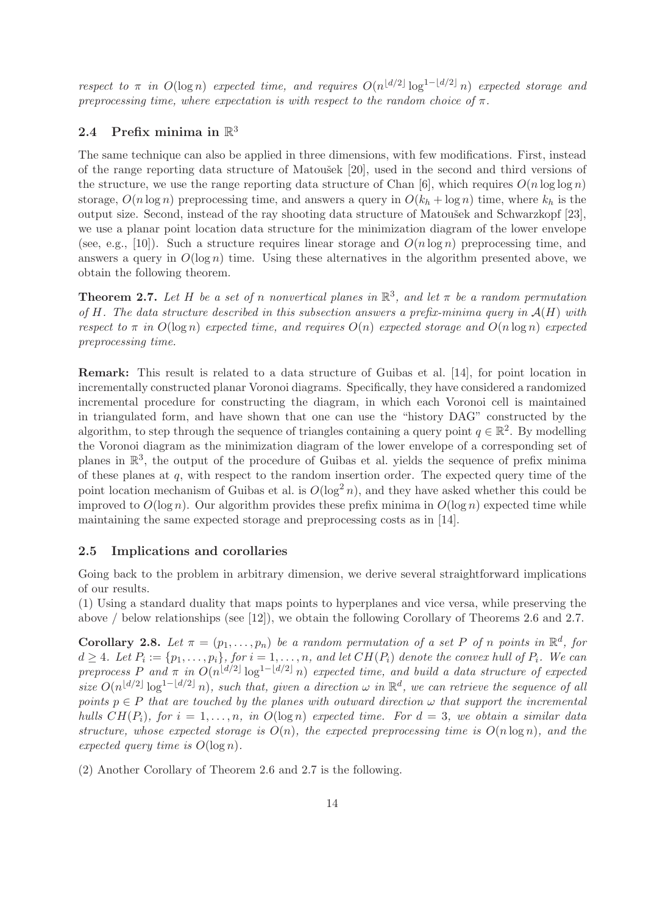respect to  $\pi$  in  $O(\log n)$  expected time, and requires  $O(n^{\lfloor d/2 \rfloor} \log^{1-\lfloor d/2 \rfloor} n)$  expected storage and preprocessing time, where expectation is with respect to the random choice of  $\pi$ .

# 2.4 Prefix minima in  $\mathbb{R}^3$

The same technique can also be applied in three dimensions, with few modifications. First, instead of the range reporting data structure of Matoušek [20], used in the second and third versions of the structure, we use the range reporting data structure of Chan [6], which requires  $O(n \log \log n)$ storage,  $O(n \log n)$  preprocessing time, and answers a query in  $O(k_h + \log n)$  time, where  $k_h$  is the output size. Second, instead of the ray shooting data structure of Matoušek and Schwarzkopf [23], we use a planar point location data structure for the minimization diagram of the lower envelope (see, e.g., [10]). Such a structure requires linear storage and  $O(n \log n)$  preprocessing time, and answers a query in  $O(\log n)$  time. Using these alternatives in the algorithm presented above, we obtain the following theorem.

**Theorem 2.7.** Let H be a set of n nonvertical planes in  $\mathbb{R}^3$ , and let  $\pi$  be a random permutation of H. The data structure described in this subsection answers a prefix-minima query in  $A(H)$  with respect to  $\pi$  in  $O(\log n)$  expected time, and requires  $O(n)$  expected storage and  $O(n \log n)$  expected preprocessing time.

Remark: This result is related to a data structure of Guibas et al. [14], for point location in incrementally constructed planar Voronoi diagrams. Specifically, they have considered a randomized incremental procedure for constructing the diagram, in which each Voronoi cell is maintained in triangulated form, and have shown that one can use the "history DAG" constructed by the algorithm, to step through the sequence of triangles containing a query point  $q \in \mathbb{R}^2$ . By modelling the Voronoi diagram as the minimization diagram of the lower envelope of a corresponding set of planes in  $\mathbb{R}^3$ , the output of the procedure of Guibas et al. yields the sequence of prefix minima of these planes at  $q$ , with respect to the random insertion order. The expected query time of the point location mechanism of Guibas et al. is  $O(\log^2 n)$ , and they have asked whether this could be improved to  $O(\log n)$ . Our algorithm provides these prefix minima in  $O(\log n)$  expected time while maintaining the same expected storage and preprocessing costs as in [14].

#### 2.5 Implications and corollaries

Going back to the problem in arbitrary dimension, we derive several straightforward implications of our results.

(1) Using a standard duality that maps points to hyperplanes and vice versa, while preserving the above / below relationships (see [12]), we obtain the following Corollary of Theorems 2.6 and 2.7.

**Corollary 2.8.** Let  $\pi = (p_1, \ldots, p_n)$  be a random permutation of a set P of n points in  $\mathbb{R}^d$ , for  $d \geq 4$ . Let  $P_i := \{p_1, \ldots, p_i\}$ , for  $i = 1, \ldots, n$ , and let  $CH(P_i)$  denote the convex hull of  $P_i$ . We can preprocess P and  $\pi$  in  $O(n^{\lfloor d/2 \rfloor} \log^{1-\lfloor d/2 \rfloor} n)$  expected time, and build a data structure of expected size  $O(n^{\lfloor d/2 \rfloor} \log^{1-\lfloor d/2 \rfloor} n)$ , such that, given a direction  $\omega$  in  $\mathbb{R}^d$ , we can retrieve the sequence of all points  $p \in P$  that are touched by the planes with outward direction  $\omega$  that support the incremental hulls  $CH(P_i)$ , for  $i = 1, \ldots, n$ , in  $O(\log n)$  expected time. For  $d = 3$ , we obtain a similar data structure, whose expected storage is  $O(n)$ , the expected preprocessing time is  $O(n \log n)$ , and the expected query time is  $O(\log n)$ .

(2) Another Corollary of Theorem 2.6 and 2.7 is the following.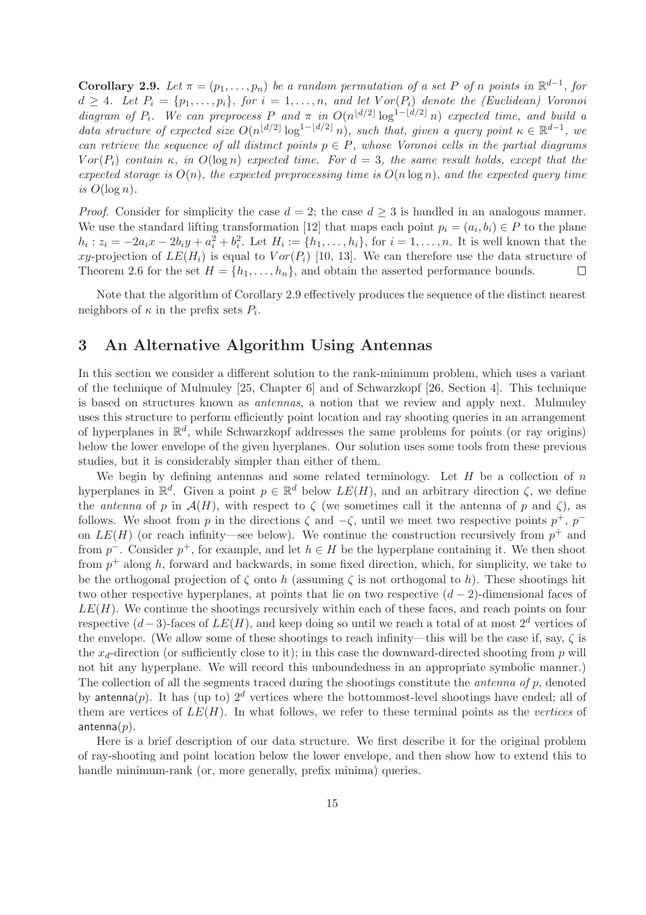**Corollary 2.9.** Let  $\pi = (p_1, \ldots, p_n)$  be a random permutation of a set P of n points in  $\mathbb{R}^{d-1}$ , for  $d \geq 4$ . Let  $P_i = \{p_1, \ldots, p_i\}$ , for  $i = 1, \ldots, n$ , and let  $Vor(P_i)$  denote the (Euclidean) Voronoi diagram of  $P_i$ . We can preprocess P and  $\pi$  in  $O(n^{\lfloor d/2 \rfloor} \log^{1-\lfloor d/2 \rfloor} n)$  expected time, and build a data structure of expected size  $O(n^{\lfloor d/2 \rfloor} \log^{1-\lfloor d/2 \rfloor} n)$ , such that, given a query point  $\kappa \in \mathbb{R}^{d-1}$ , we can retrieve the sequence of all distinct points  $p \in P$ , whose Voronoi cells in the partial diagrams  $Vor(P<sub>i</sub>)$  contain  $\kappa$ , in  $O(\log n)$  expected time. For  $d = 3$ , the same result holds, except that the expected storage is  $O(n)$ , the expected preprocessing time is  $O(n \log n)$ , and the expected query time is  $O(\log n)$ .

*Proof.* Consider for simplicity the case  $d = 2$ ; the case  $d \geq 3$  is handled in an analogous manner. We use the standard lifting transformation [12] that maps each point  $p_i = (a_i, b_i) \in P$  to the plane  $h_i: z_i = -2a_ix - 2b_iy + a_i^2 + b_i^2$ . Let  $H_i := \{h_1, \ldots, h_i\}$ , for  $i = 1, \ldots, n$ . It is well known that the xy-projection of  $LE(H_i)$  is equal to  $Vor(P_i)$  [10, 13]. We can therefore use the data structure of Theorem 2.6 for the set  $H = \{h_1, \ldots, h_n\}$ , and obtain the asserted performance bounds.  $\Box$ 

Note that the algorithm of Corollary 2.9 effectively produces the sequence of the distinct nearest neighbors of  $\kappa$  in the prefix sets  $P_i$ .

# 3 An Alternative Algorithm Using Antennas

In this section we consider a different solution to the rank-minimum problem, which uses a variant of the technique of Mulmuley [25, Chapter 6] and of Schwarzkopf [26, Section 4]. This technique is based on structures known as antennas, a notion that we review and apply next. Mulmuley uses this structure to perform efficiently point location and ray shooting queries in an arrangement of hyperplanes in  $\mathbb{R}^d$ , while Schwarzkopf addresses the same problems for points (or ray origins) below the lower envelope of the given hyerplanes. Our solution uses some tools from these previous studies, but it is considerably simpler than either of them.

We begin by defining antennas and some related terminology. Let  $H$  be a collection of  $n$ hyperplanes in  $\mathbb{R}^d$ . Given a point  $p \in \mathbb{R}^d$  below  $LE(H)$ , and an arbitrary direction  $\zeta$ , we define the *antenna* of p in  $\mathcal{A}(H)$ , with respect to  $\zeta$  (we sometimes call it the antenna of p and  $\zeta$ ), as follows. We shoot from p in the directions  $\zeta$  and  $-\zeta$ , until we meet two respective points  $p^+$ ,  $p^$ on  $LE(H)$  (or reach infinity—see below). We continue the construction recursively from  $p^+$  and from  $p^{-}$ . Consider  $p^{+}$ , for example, and let  $h \in H$  be the hyperplane containing it. We then shoot from  $p^+$  along h, forward and backwards, in some fixed direction, which, for simplicity, we take to be the orthogonal projection of  $\zeta$  onto h (assuming  $\zeta$  is not orthogonal to h). These shootings hit two other respective hyperplanes, at points that lie on two respective  $(d-2)$ -dimensional faces of  $LE(H)$ . We continue the shootings recursively within each of these faces, and reach points on four respective  $(d-3)$ -faces of  $LE(H)$ , and keep doing so until we reach a total of at most  $2^d$  vertices of the envelope. (We allow some of these shootings to reach infinity—this will be the case if, say,  $\zeta$  is the  $x_d$ -direction (or sufficiently close to it); in this case the downward-directed shooting from p will not hit any hyperplane. We will record this unboundedness in an appropriate symbolic manner.) The collection of all the segments traced during the shootings constitute the *antenna of p*, denoted by antenna(p). It has (up to)  $2^d$  vertices where the bottommost-level shootings have ended; all of them are vertices of  $LE(H)$ . In what follows, we refer to these terminal points as the vertices of antenna $(p)$ .

Here is a brief description of our data structure. We first describe it for the original problem of ray-shooting and point location below the lower envelope, and then show how to extend this to handle minimum-rank (or, more generally, prefix minima) queries.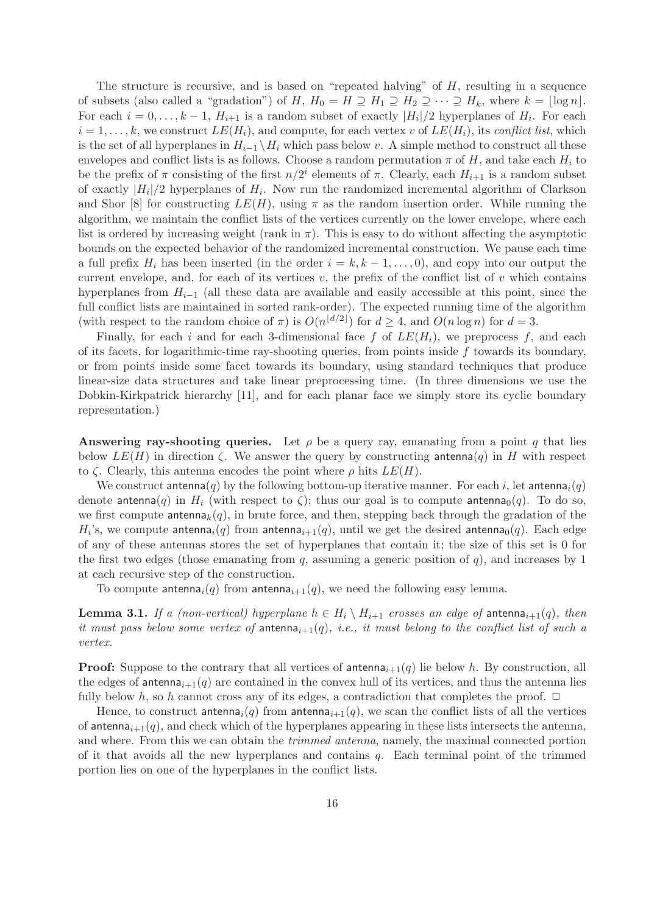The structure is recursive, and is based on "repeated halving" of  $H$ , resulting in a sequence of subsets (also called a "gradation") of H,  $H_0 = H \supseteq H_1 \supseteq H_2 \supseteq \cdots \supseteq H_k$ , where  $k = \lfloor \log n \rfloor$ . For each  $i = 0, \ldots, k - 1, H_{i+1}$  is a random subset of exactly  $|H_i|/2$  hyperplanes of  $H_i$ . For each  $i = 1, \ldots, k$ , we construct  $LE(H_i)$ , and compute, for each vertex v of  $LE(H_i)$ , its conflict list, which is the set of all hyperplanes in  $H_{i-1} \setminus H_i$  which pass below v. A simple method to construct all these envelopes and conflict lists is as follows. Choose a random permutation  $\pi$  of H, and take each  $H_i$  to be the prefix of  $\pi$  consisting of the first  $n/2^i$  elements of  $\pi$ . Clearly, each  $H_{i+1}$  is a random subset of exactly  $|H_i|/2$  hyperplanes of  $H_i$ . Now run the randomized incremental algorithm of Clarkson and Shor [8] for constructing  $LE(H)$ , using  $\pi$  as the random insertion order. While running the algorithm, we maintain the conflict lists of the vertices currently on the lower envelope, where each list is ordered by increasing weight (rank in  $\pi$ ). This is easy to do without affecting the asymptotic bounds on the expected behavior of the randomized incremental construction. We pause each time a full prefix  $H_i$  has been inserted (in the order  $i = k, k - 1, \ldots, 0$ ), and copy into our output the current envelope, and, for each of its vertices  $v$ , the prefix of the conflict list of  $v$  which contains hyperplanes from  $H_{i-1}$  (all these data are available and easily accessible at this point, since the full conflict lists are maintained in sorted rank-order). The expected running time of the algorithm (with respect to the random choice of  $\pi$ ) is  $O(n^{\lfloor d/2 \rfloor})$  for  $d \geq 4$ , and  $O(n \log n)$  for  $d = 3$ .

Finally, for each i and for each 3-dimensional face f of  $LE(H_i)$ , we preprocess f, and each of its facets, for logarithmic-time ray-shooting queries, from points inside  $f$  towards its boundary, or from points inside some facet towards its boundary, using standard techniques that produce linear-size data structures and take linear preprocessing time. (In three dimensions we use the Dobkin-Kirkpatrick hierarchy [11], and for each planar face we simply store its cyclic boundary representation.)

Answering ray-shooting queries. Let  $\rho$  be a query ray, emanating from a point q that lies below  $LE(H)$  in direction  $\zeta$ . We answer the query by constructing antenna $(q)$  in H with respect to  $\zeta$ . Clearly, this antenna encodes the point where  $\rho$  hits  $LE(H)$ .

We construct antenna(q) by the following bottom-up iterative manner. For each i, let antenna<sub>i</sub>(q) denote antenna(q) in  $H_i$  (with respect to  $\zeta$ ); thus our goal is to compute antenna<sub>0</sub>(q). To do so, we first compute  $\text{antenna}_k(q)$ , in brute force, and then, stepping back through the gradation of the  $H_i$ 's, we compute antenna $_i(q)$  from antenna $_{i+1}(q)$ , until we get the desired antenna $_0(q)$ . Each edge of any of these antennas stores the set of hyperplanes that contain it; the size of this set is 0 for the first two edges (those emanating from q, assuming a generic position of q), and increases by 1 at each recursive step of the construction.

To compute antenna<sub>i</sub>(q) from antenna<sub>i+1</sub>(q), we need the following easy lemma.

**Lemma 3.1.** If a (non-vertical) hyperplane  $h \in H_i \setminus H_{i+1}$  crosses an edge of antenna<sub>i+1</sub>(q), then it must pass below some vertex of antenna<sub>i+1</sub>(q), i.e., it must belong to the conflict list of such a vertex.

**Proof:** Suppose to the contrary that all vertices of antenna<sub>i+1</sub> $(q)$  lie below h. By construction, all the edges of antenna<sub>i+1</sub>(q) are contained in the convex hull of its vertices, and thus the antenna lies fully below h, so h cannot cross any of its edges, a contradiction that completes the proof.  $\Box$ 

Hence, to construct antenna<sub>i</sub>(q) from antenna<sub>i+1</sub>(q), we scan the conflict lists of all the vertices of antenna<sub>i+1</sub> $(q)$ , and check which of the hyperplanes appearing in these lists intersects the antenna, and where. From this we can obtain the *trimmed antenna*, namely, the maximal connected portion of it that avoids all the new hyperplanes and contains  $q$ . Each terminal point of the trimmed portion lies on one of the hyperplanes in the conflict lists.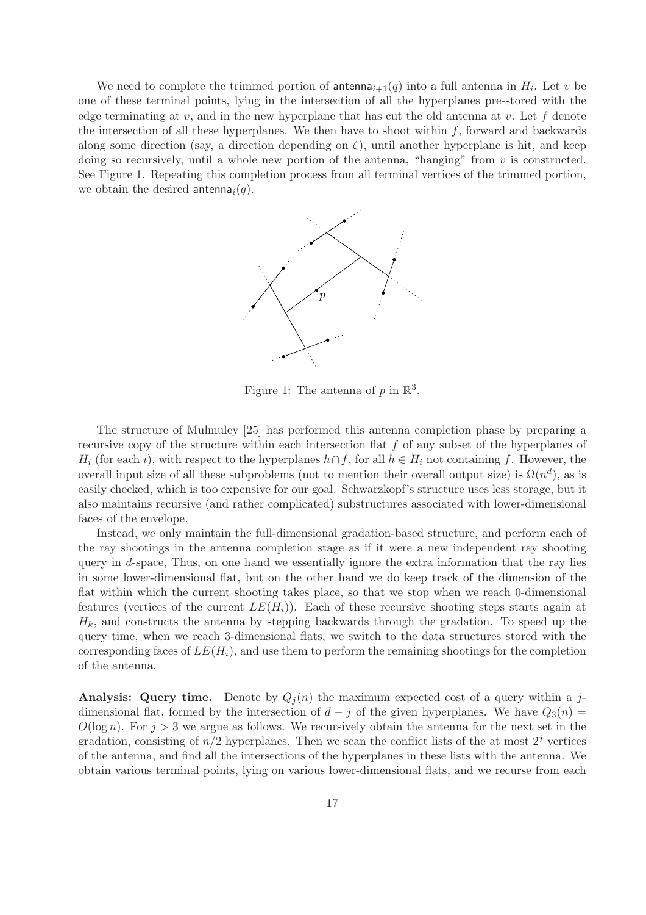We need to complete the trimmed portion of antenna<sub>i+1</sub>(q) into a full antenna in  $H_i$ . Let v be one of these terminal points, lying in the intersection of all the hyperplanes pre-stored with the edge terminating at  $v$ , and in the new hyperplane that has cut the old antenna at  $v$ . Let  $f$  denote the intersection of all these hyperplanes. We then have to shoot within  $f$ , forward and backwards along some direction (say, a direction depending on  $\zeta$ ), until another hyperplane is hit, and keep doing so recursively, until a whole new portion of the antenna, "hanging" from  $v$  is constructed. See Figure 1. Repeating this completion process from all terminal vertices of the trimmed portion, we obtain the desired antenna<sub>i</sub> $(q)$ .



Figure 1: The antenna of  $p$  in  $\mathbb{R}^3$ .

The structure of Mulmuley [25] has performed this antenna completion phase by preparing a recursive copy of the structure within each intersection flat f of any subset of the hyperplanes of  $H_i$  (for each i), with respect to the hyperplanes  $h \cap f$ , for all  $h \in H_i$  not containing f. However, the overall input size of all these subproblems (not to mention their overall output size) is  $\Omega(n^d)$ , as is easily checked, which is too expensive for our goal. Schwarzkopf's structure uses less storage, but it also maintains recursive (and rather complicated) substructures associated with lower-dimensional faces of the envelope.

Instead, we only maintain the full-dimensional gradation-based structure, and perform each of the ray shootings in the antenna completion stage as if it were a new independent ray shooting query in d-space, Thus, on one hand we essentially ignore the extra information that the ray lies in some lower-dimensional flat, but on the other hand we do keep track of the dimension of the flat within which the current shooting takes place, so that we stop when we reach 0-dimensional features (vertices of the current  $LE(H_i)$ ). Each of these recursive shooting steps starts again at  $H_k$ , and constructs the antenna by stepping backwards through the gradation. To speed up the query time, when we reach 3-dimensional flats, we switch to the data structures stored with the corresponding faces of  $LE(H_i)$ , and use them to perform the remaining shootings for the completion of the antenna.

Analysis: Query time. Denote by  $Q_i(n)$  the maximum expected cost of a query within a jdimensional flat, formed by the intersection of  $d - j$  of the given hyperplanes. We have  $Q_3(n)$  $O(\log n)$ . For  $j > 3$  we argue as follows. We recursively obtain the antenna for the next set in the gradation, consisting of  $n/2$  hyperplanes. Then we scan the conflict lists of the at most  $2<sup>j</sup>$  vertices of the antenna, and find all the intersections of the hyperplanes in these lists with the antenna. We obtain various terminal points, lying on various lower-dimensional flats, and we recurse from each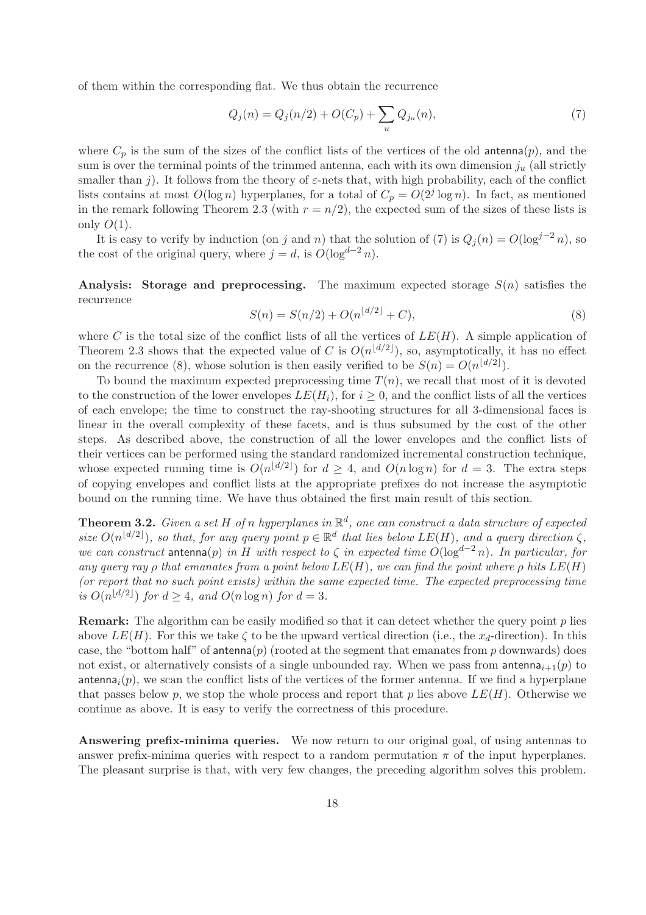of them within the corresponding flat. We thus obtain the recurrence

$$
Q_j(n) = Q_j(n/2) + O(C_p) + \sum_u Q_{j_u}(n),\tag{7}
$$

where  $C_p$  is the sum of the sizes of the conflict lists of the vertices of the old antenna(p), and the sum is over the terminal points of the trimmed antenna, each with its own dimension  $j_u$  (all strictly smaller than j). It follows from the theory of  $\varepsilon$ -nets that, with high probability, each of the conflict lists contains at most  $O(\log n)$  hyperplanes, for a total of  $C_p = O(2<sup>j</sup> \log n)$ . In fact, as mentioned in the remark following Theorem 2.3 (with  $r = n/2$ ), the expected sum of the sizes of these lists is only  $O(1)$ .

It is easy to verify by induction (on j and n) that the solution of (7) is  $Q_i(n) = O(\log^{j-2} n)$ , so the cost of the original query, where  $j = d$ , is  $O(\log^{d-2} n)$ .

**Analysis:** Storage and preprocessing. The maximum expected storage  $S(n)$  satisfies the recurrence

$$
S(n) = S(n/2) + O(n^{\lfloor d/2 \rfloor} + C),\tag{8}
$$

where C is the total size of the conflict lists of all the vertices of  $LE(H)$ . A simple application of Theorem 2.3 shows that the expected value of C is  $O(n^{\lfloor d/2 \rfloor})$ , so, asymptotically, it has no effect on the recurrence (8), whose solution is then easily verified to be  $S(n) = O(n^{\lfloor d/2 \rfloor}).$ 

To bound the maximum expected preprocessing time  $T(n)$ , we recall that most of it is devoted to the construction of the lower envelopes  $LE(H_i)$ , for  $i \geq 0$ , and the conflict lists of all the vertices of each envelope; the time to construct the ray-shooting structures for all 3-dimensional faces is linear in the overall complexity of these facets, and is thus subsumed by the cost of the other steps. As described above, the construction of all the lower envelopes and the conflict lists of their vertices can be performed using the standard randomized incremental construction technique, whose expected running time is  $O(n^{\lfloor d/2 \rfloor})$  for  $d \geq 4$ , and  $O(n \log n)$  for  $d = 3$ . The extra steps of copying envelopes and conflict lists at the appropriate prefixes do not increase the asymptotic bound on the running time. We have thus obtained the first main result of this section.

**Theorem 3.2.** Given a set H of n hyperplanes in  $\mathbb{R}^d$ , one can construct a data structure of expected size  $O(n^{\lfloor d/2 \rfloor})$ , so that, for any query point  $p \in \mathbb{R}^d$  that lies below  $LE(H)$ , and a query direction  $\zeta$ , we can construct antenna(p) in H with respect to  $\zeta$  in expected time  $O(\log^{d-2} n)$ . In particular, for any query ray ρ that emanates from a point below  $LE(H)$ , we can find the point where ρ hits  $LE(H)$ (or report that no such point exists) within the same expected time. The expected preprocessing time is  $O(n^{\lfloor d/2 \rfloor})$  for  $d \geq 4$ , and  $O(n \log n)$  for  $d = 3$ .

**Remark:** The algorithm can be easily modified so that it can detect whether the query point p lies above  $LE(H)$ . For this we take  $\zeta$  to be the upward vertical direction (i.e., the  $x_d$ -direction). In this case, the "bottom half" of antenna(p) (rooted at the segment that emanates from p downwards) does not exist, or alternatively consists of a single unbounded ray. When we pass from antenna<sub>i+1</sub>(p) to antenna<sub>i</sub> $(p)$ , we scan the conflict lists of the vertices of the former antenna. If we find a hyperplane that passes below p, we stop the whole process and report that p lies above  $LE(H)$ . Otherwise we continue as above. It is easy to verify the correctness of this procedure.

Answering prefix-minima queries. We now return to our original goal, of using antennas to answer prefix-minima queries with respect to a random permutation  $\pi$  of the input hyperplanes. The pleasant surprise is that, with very few changes, the preceding algorithm solves this problem.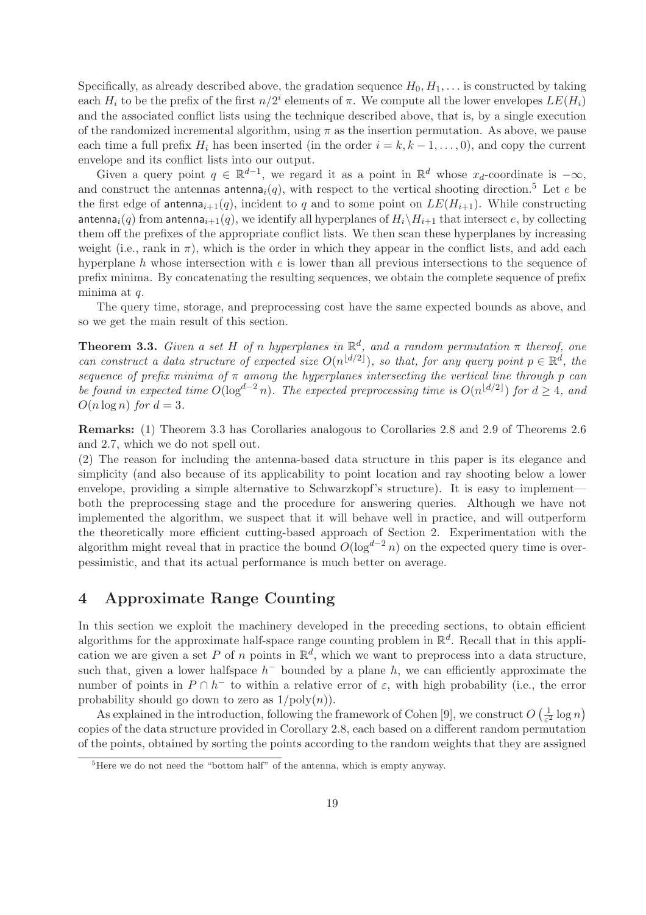Specifically, as already described above, the gradation sequence  $H_0, H_1, \ldots$  is constructed by taking each  $H_i$  to be the prefix of the first  $n/2^i$  elements of  $\pi$ . We compute all the lower envelopes  $LE(H_i)$ and the associated conflict lists using the technique described above, that is, by a single execution of the randomized incremental algorithm, using  $\pi$  as the insertion permutation. As above, we pause each time a full prefix  $H_i$  has been inserted (in the order  $i = k, k - 1, \ldots, 0$ ), and copy the current envelope and its conflict lists into our output.

Given a query point  $q \in \mathbb{R}^{d-1}$ , we regard it as a point in  $\mathbb{R}^d$  whose  $x_d$ -coordinate is  $-\infty$ , and construct the antennas antenna<sub>i</sub>(q), with respect to the vertical shooting direction.<sup>5</sup> Let e be the first edge of antenna<sub>i+1</sub>(q), incident to q and to some point on  $LE(H_{i+1})$ . While constructing antenna<sub>i</sub>(q) from antenna<sub>i+1</sub>(q), we identify all hyperplanes of  $H_i\backslash H_{i+1}$  that intersect e, by collecting them off the prefixes of the appropriate conflict lists. We then scan these hyperplanes by increasing weight (i.e., rank in  $\pi$ ), which is the order in which they appear in the conflict lists, and add each hyperplane h whose intersection with e is lower than all previous intersections to the sequence of prefix minima. By concatenating the resulting sequences, we obtain the complete sequence of prefix minima at  $q$ .

The query time, storage, and preprocessing cost have the same expected bounds as above, and so we get the main result of this section.

**Theorem 3.3.** Given a set H of n hyperplanes in  $\mathbb{R}^d$ , and a random permutation  $\pi$  thereof, one can construct a data structure of expected size  $O(n^{\lfloor d/2 \rfloor})$ , so that, for any query point  $p \in \mathbb{R}^d$ , the sequence of prefix minima of  $\pi$  among the hyperplanes intersecting the vertical line through p can be found in expected time  $O(\log^{d-2} n)$ . The expected preprocessing time is  $O(n^{\lfloor d/2 \rfloor})$  for  $d \geq 4$ , and  $O(n \log n)$  for  $d = 3$ .

Remarks: (1) Theorem 3.3 has Corollaries analogous to Corollaries 2.8 and 2.9 of Theorems 2.6 and 2.7, which we do not spell out.

(2) The reason for including the antenna-based data structure in this paper is its elegance and simplicity (and also because of its applicability to point location and ray shooting below a lower envelope, providing a simple alternative to Schwarzkopf's structure). It is easy to implement both the preprocessing stage and the procedure for answering queries. Although we have not implemented the algorithm, we suspect that it will behave well in practice, and will outperform the theoretically more efficient cutting-based approach of Section 2. Experimentation with the algorithm might reveal that in practice the bound  $O(\log^{d-2} n)$  on the expected query time is overpessimistic, and that its actual performance is much better on average.

# 4 Approximate Range Counting

In this section we exploit the machinery developed in the preceding sections, to obtain efficient algorithms for the approximate half-space range counting problem in  $\mathbb{R}^d$ . Recall that in this application we are given a set P of n points in  $\mathbb{R}^d$ , which we want to preprocess into a data structure, such that, given a lower halfspace  $h^-$  bounded by a plane h, we can efficiently approximate the number of points in  $P \cap h^-$  to within a relative error of  $\varepsilon$ , with high probability (i.e., the error probability should go down to zero as  $1/\text{poly}(n)$ .

As explained in the introduction, following the framework of Cohen [9], we construct  $O\left(\frac{1}{\epsilon^2}\right)$  $\frac{1}{\varepsilon^2} \log n$ copies of the data structure provided in Corollary 2.8, each based on a different random permutation of the points, obtained by sorting the points according to the random weights that they are assigned

 ${}^{5}$ Here we do not need the "bottom half" of the antenna, which is empty anyway.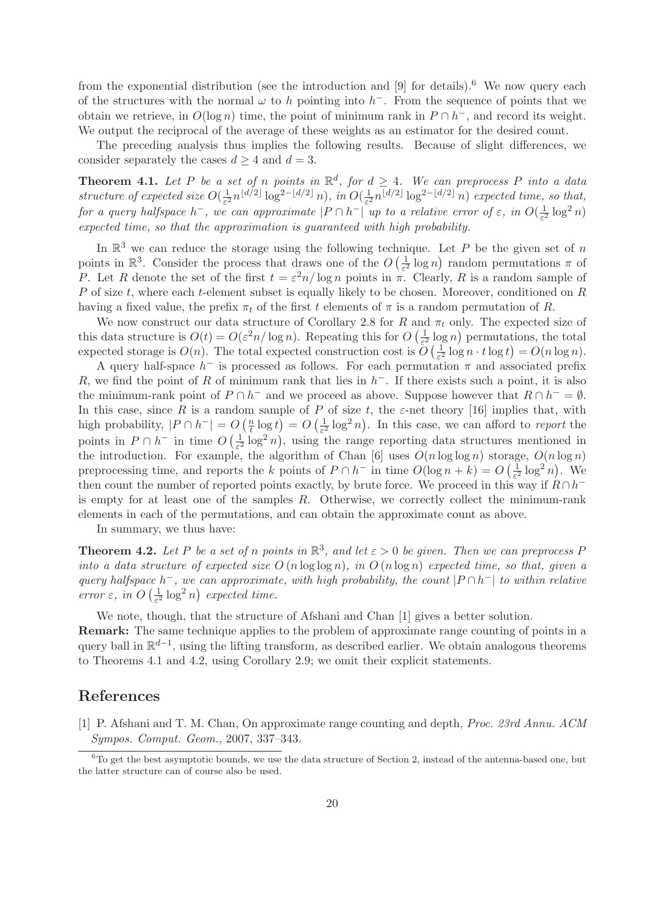from the exponential distribution (see the introduction and  $[9]$  for details).<sup>6</sup> We now query each of the structures with the normal  $\omega$  to h pointing into h<sup>-</sup>. From the sequence of points that we obtain we retrieve, in  $O(\log n)$  time, the point of minimum rank in  $P \cap h^-$ , and record its weight. We output the reciprocal of the average of these weights as an estimator for the desired count.

The preceding analysis thus implies the following results. Because of slight differences, we consider separately the cases  $d \geq 4$  and  $d = 3$ .

**Theorem 4.1.** Let P be a set of n points in  $\mathbb{R}^d$ , for  $d \geq 4$ . We can preprocess P into a data structure of expected size  $O(\frac{1}{\epsilon^2})$  $\frac{1}{\varepsilon^2} n^{\lfloor d/2 \rfloor} \log^{2-\lfloor d/2 \rfloor} n), \ in \ O(\frac{1}{\varepsilon^2})$  $\frac{1}{\varepsilon^2} n^{\lfloor d/2 \rfloor} \log^{2-\lfloor d/2 \rfloor} n)$  expected time, so that, for a query halfspace  $h^-$ , we can approximate  $|P \cap h^-|$  up to a relative error of  $\varepsilon$ , in  $O(\frac{1}{\varepsilon^2})$  $\frac{1}{\varepsilon^2} \log^2 n$ expected time, so that the approximation is guaranteed with high probability.

In  $\mathbb{R}^3$  we can reduce the storage using the following technique. Let P be the given set of n points in  $\mathbb{R}^3$ . Consider the process that draws one of the  $O\left(\frac{1}{\epsilon^2}\right)$  $\frac{1}{\varepsilon^2} \log n$  random permutations  $\pi$  of P. Let R denote the set of the first  $t = \varepsilon^2 n / \log n$  points in  $\pi$ . Clearly, R is a random sample of P of size t, where each t-element subset is equally likely to be chosen. Moreover, conditioned on  $R$ having a fixed value, the prefix  $\pi_t$  of the first t elements of  $\pi$  is a random permutation of R.

We now construct our data structure of Corollary 2.8 for R and  $\pi_t$  only. The expected size of this data structure is  $O(t) = O(\varepsilon^2 n / \log n)$ . Repeating this for  $O\left(\frac{1}{\varepsilon^2}\right)$  $\frac{1}{\varepsilon^2} \log n$ ) permutations, the total expected storage is  $O(n)$ . The total expected construction cost is  $\tilde{O}(\frac{1}{\epsilon^2})$  $\frac{1}{\varepsilon^2} \log n \cdot t \log t$  =  $O(n \log n)$ .

A query half-space  $h^-$  is processed as follows. For each permutation  $\pi$  and associated prefix R, we find the point of R of minimum rank that lies in  $h^-$ . If there exists such a point, it is also the minimum-rank point of  $P \cap h^-$  and we proceed as above. Suppose however that  $R \cap h^- = \emptyset$ . In this case, since R is a random sample of P of size t, the  $\varepsilon$ -net theory [16] implies that, with high probability,  $|P \cap h^-| = O\left(\frac{n}{t}\right)$  $\frac{n}{t} \log t$  =  $O\left(\frac{1}{\varepsilon^2}\right)$  $\frac{1}{\varepsilon^2} \log^2 n$ ). In this case, we can afford to *report* the points in  $P \cap h^-$  in time  $O\left(\frac{1}{\varepsilon^2}\right)$  $\frac{1}{\varepsilon^2} \log^2 n$ , using the range reporting data structures mentioned in the introduction. For example, the algorithm of Chan [6] uses  $O(n \log \log n)$  storage,  $O(n \log n)$ preprocessing time, and reports the k points of  $P \cap h^-$  in time  $O(\log n + k) = O\left(\frac{1}{\varepsilon^2}\right)$  $\frac{1}{\varepsilon^2} \log^2 n$ ). We then count the number of reported points exactly, by brute force. We proceed in this way if  $R \cap h^$ is empty for at least one of the samples R. Otherwise, we correctly collect the minimum-rank elements in each of the permutations, and can obtain the approximate count as above.

In summary, we thus have:

**Theorem 4.2.** Let P be a set of n points in  $\mathbb{R}^3$ , and let  $\varepsilon > 0$  be given. Then we can preprocess P into a data structure of expected size  $O(n \log \log n)$ , in  $O(n \log n)$  expected time, so that, given a query halfspace  $h^-$ , we can approximate, with high probability, the count  $|P \cap h^-|$  to within relative error  $\varepsilon$ , in  $O\left(\frac{1}{\varepsilon^2}\right)$  $\frac{1}{\varepsilon^2} \log^2 n$  expected time.

We note, though, that the structure of Afshani and Chan [1] gives a better solution.

Remark: The same technique applies to the problem of approximate range counting of points in a query ball in  $\mathbb{R}^{d-1}$ , using the lifting transform, as described earlier. We obtain analogous theorems to Theorems 4.1 and 4.2, using Corollary 2.9; we omit their explicit statements.

### References

<sup>[1]</sup> P. Afshani and T. M. Chan, On approximate range counting and depth, Proc. 23rd Annu. ACM Sympos. Comput. Geom., 2007, 337–343.

 $6T_0$  get the best asymptotic bounds, we use the data structure of Section 2, instead of the antenna-based one, but the latter structure can of course also be used.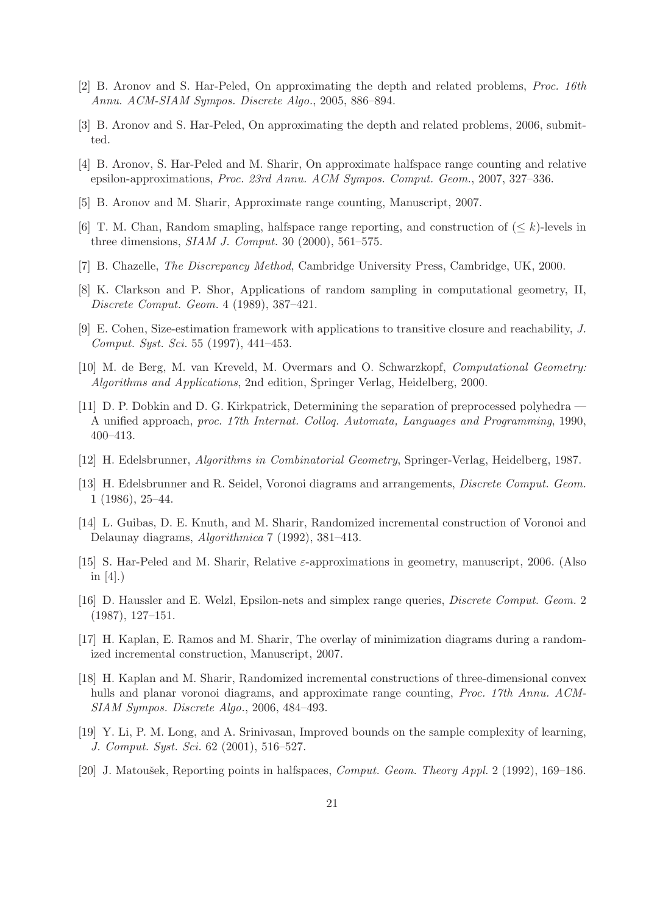- [2] B. Aronov and S. Har-Peled, On approximating the depth and related problems, Proc. 16th Annu. ACM-SIAM Sympos. Discrete Algo., 2005, 886–894.
- [3] B. Aronov and S. Har-Peled, On approximating the depth and related problems, 2006, submitted.
- [4] B. Aronov, S. Har-Peled and M. Sharir, On approximate halfspace range counting and relative epsilon-approximations, Proc. 23rd Annu. ACM Sympos. Comput. Geom., 2007, 327–336.
- [5] B. Aronov and M. Sharir, Approximate range counting, Manuscript, 2007.
- [6] T. M. Chan, Random smapling, halfspace range reporting, and construction of  $(\leq k)$ -levels in three dimensions,  $SIAM$  J. Comput. 30 (2000), 561–575.
- [7] B. Chazelle, The Discrepancy Method, Cambridge University Press, Cambridge, UK, 2000.
- [8] K. Clarkson and P. Shor, Applications of random sampling in computational geometry, II, Discrete Comput. Geom. 4 (1989), 387–421.
- [9] E. Cohen, Size-estimation framework with applications to transitive closure and reachability, J. Comput. Syst. Sci. 55 (1997), 441–453.
- [10] M. de Berg, M. van Kreveld, M. Overmars and O. Schwarzkopf, Computational Geometry: Algorithms and Applications, 2nd edition, Springer Verlag, Heidelberg, 2000.
- [11] D. P. Dobkin and D. G. Kirkpatrick, Determining the separation of preprocessed polyhedra A unified approach, proc. 17th Internat. Colloq. Automata, Languages and Programming, 1990, 400–413.
- [12] H. Edelsbrunner, Algorithms in Combinatorial Geometry, Springer-Verlag, Heidelberg, 1987.
- [13] H. Edelsbrunner and R. Seidel, Voronoi diagrams and arrangements, Discrete Comput. Geom. 1 (1986), 25–44.
- [14] L. Guibas, D. E. Knuth, and M. Sharir, Randomized incremental construction of Voronoi and Delaunay diagrams, Algorithmica 7 (1992), 381–413.
- [15] S. Har-Peled and M. Sharir, Relative ε-approximations in geometry, manuscript, 2006. (Also in  $[4]$ .)
- [16] D. Haussler and E. Welzl, Epsilon-nets and simplex range queries, Discrete Comput. Geom. 2 (1987), 127–151.
- [17] H. Kaplan, E. Ramos and M. Sharir, The overlay of minimization diagrams during a randomized incremental construction, Manuscript, 2007.
- [18] H. Kaplan and M. Sharir, Randomized incremental constructions of three-dimensional convex hulls and planar voronoi diagrams, and approximate range counting, *Proc. 17th Annu. ACM*-SIAM Sympos. Discrete Algo., 2006, 484–493.
- [19] Y. Li, P. M. Long, and A. Srinivasan, Improved bounds on the sample complexity of learning, J. Comput. Syst. Sci. 62 (2001), 516–527.
- [20] J. Matoušek, Reporting points in halfspaces, *Comput. Geom. Theory Appl.* 2 (1992), 169–186.